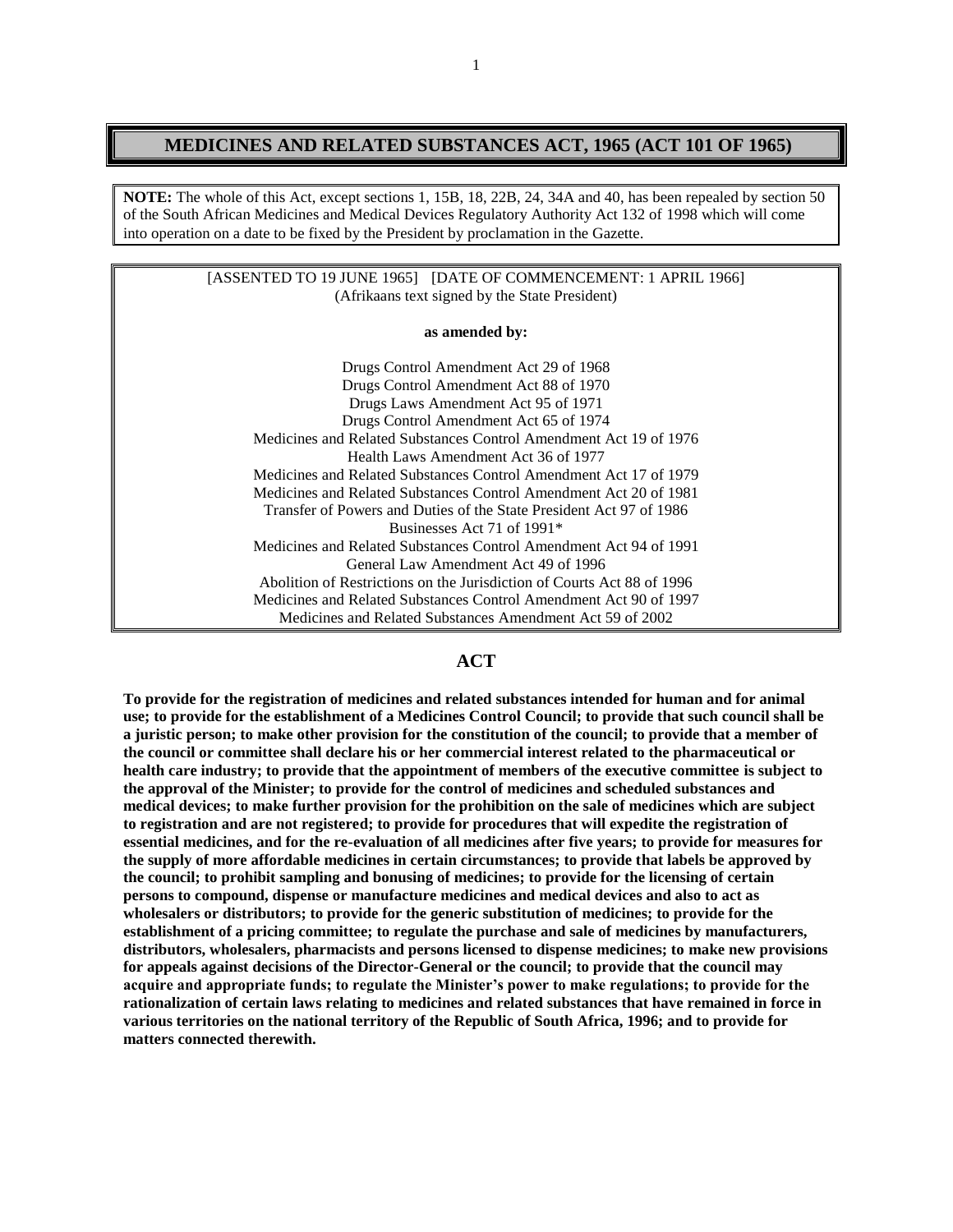# **MEDICINES AND RELATED SUBSTANCES ACT, 1965 (ACT 101 OF 1965)**

**NOTE:** The whole of this Act, except sections 1, 15B, 18, 22B, 24, 34A and 40, has been repealed by section 50 of the South African Medicines and Medical Devices Regulatory Authority Act 132 of 1998 which will come into operation on a date to be fixed by the President by proclamation in the Gazette.

|                                                | [ASSENTED TO 19 JUNE 1965] [DATE OF COMMENCEMENT: 1 APRIL 1966] |
|------------------------------------------------|-----------------------------------------------------------------|
| (Afrikaans text signed by the State President) |                                                                 |

#### **as amended by:**

Drugs Control Amendment Act 29 of 1968 Drugs Control Amendment Act 88 of 1970 Drugs Laws Amendment Act 95 of 1971 Drugs Control Amendment Act 65 of 1974 Medicines and Related Substances Control Amendment Act 19 of 1976 Health Laws Amendment Act 36 of 1977 Medicines and Related Substances Control Amendment Act 17 of 1979 Medicines and Related Substances Control Amendment Act 20 of 1981 Transfer of Powers and Duties of the State President Act 97 of 1986 Businesses Act 71 of 1991\* Medicines and Related Substances Control Amendment Act 94 of 1991 General Law Amendment Act 49 of 1996 Abolition of Restrictions on the Jurisdiction of Courts Act 88 of 1996 Medicines and Related Substances Control Amendment Act 90 of 1997 Medicines and Related Substances Amendment Act 59 of 2002

# **ACT**

**To provide for the registration of medicines and related substances intended for human and for animal use; to provide for the establishment of a Medicines Control Council; to provide that such council shall be a juristic person; to make other provision for the constitution of the council; to provide that a member of the council or committee shall declare his or her commercial interest related to the pharmaceutical or health care industry; to provide that the appointment of members of the executive committee is subject to the approval of the Minister; to provide for the control of medicines and scheduled substances and medical devices; to make further provision for the prohibition on the sale of medicines which are subject to registration and are not registered; to provide for procedures that will expedite the registration of essential medicines, and for the re-evaluation of all medicines after five years; to provide for measures for the supply of more affordable medicines in certain circumstances; to provide that labels be approved by the council; to prohibit sampling and bonusing of medicines; to provide for the licensing of certain persons to compound, dispense or manufacture medicines and medical devices and also to act as wholesalers or distributors; to provide for the generic substitution of medicines; to provide for the establishment of a pricing committee; to regulate the purchase and sale of medicines by manufacturers, distributors, wholesalers, pharmacists and persons licensed to dispense medicines; to make new provisions for appeals against decisions of the Director-General or the council; to provide that the council may acquire and appropriate funds; to regulate the Minister's power to make regulations; to provide for the rationalization of certain laws relating to medicines and related substances that have remained in force in various territories on the national territory of the Republic of South Africa, 1996; and to provide for matters connected therewith.**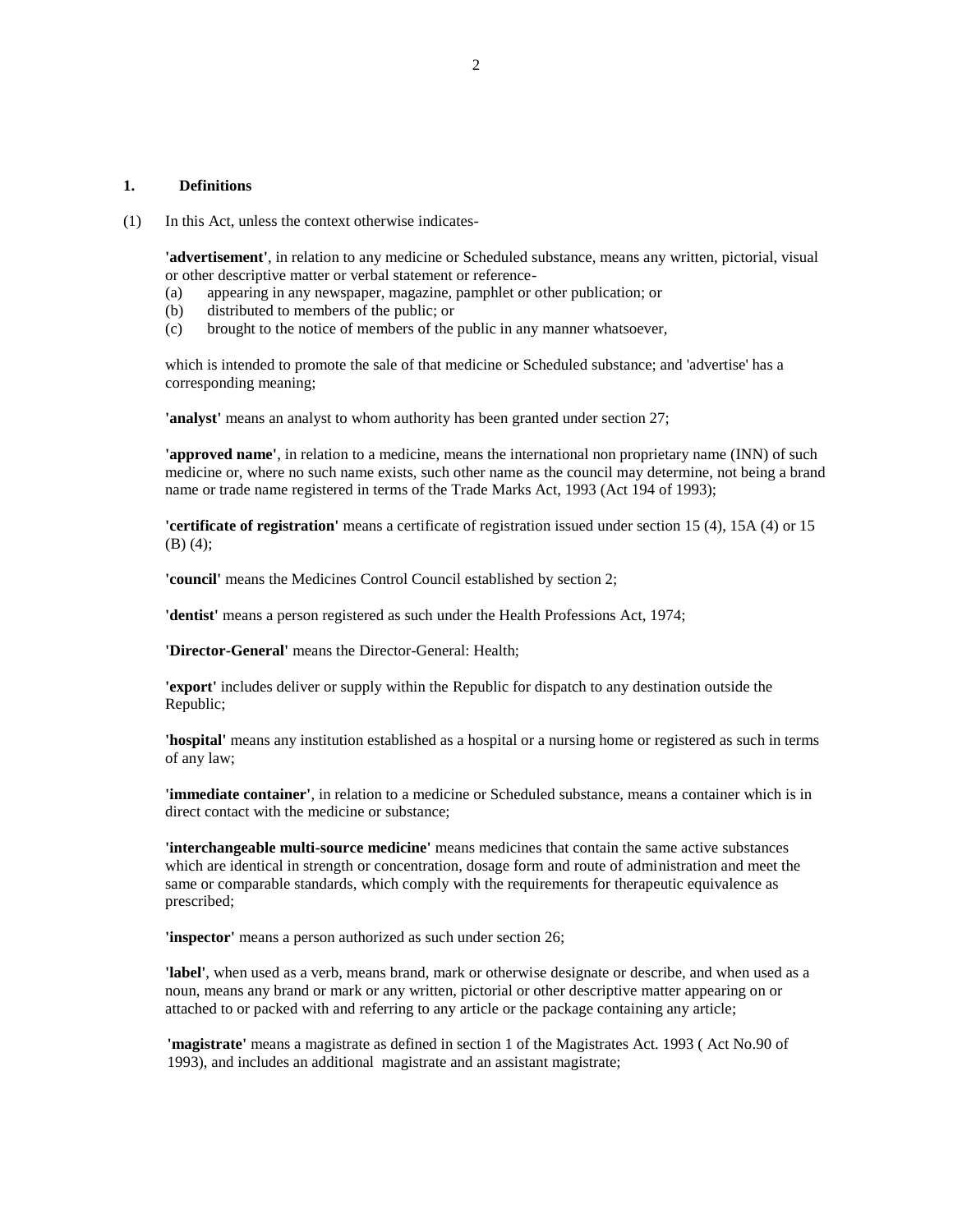#### **1. Definitions**

(1) In this Act, unless the context otherwise indicates-

**'advertisement'**, in relation to any medicine or Scheduled substance, means any written, pictorial, visual or other descriptive matter or verbal statement or reference-

- (a) appearing in any newspaper, magazine, pamphlet or other publication; or
- (b) distributed to members of the public; or
- (c) brought to the notice of members of the public in any manner whatsoever,

which is intended to promote the sale of that medicine or Scheduled substance; and 'advertise' has a corresponding meaning;

**'analyst'** means an analyst to whom authority has been granted under section 27;

**'approved name'**, in relation to a medicine, means the international non proprietary name (INN) of such medicine or, where no such name exists, such other name as the council may determine, not being a brand name or trade name registered in terms of the Trade Marks Act, 1993 (Act 194 of 1993);

**'certificate of registration'** means a certificate of registration issued under section 15 (4), 15A (4) or 15 (B) (4);

**'council'** means the Medicines Control Council established by section 2;

**'dentist'** means a person registered as such under the Health Professions Act, 1974;

**'Director-General'** means the Director-General: Health;

**'export'** includes deliver or supply within the Republic for dispatch to any destination outside the Republic;

**'hospital'** means any institution established as a hospital or a nursing home or registered as such in terms of any law;

**'immediate container'**, in relation to a medicine or Scheduled substance, means a container which is in direct contact with the medicine or substance;

**'interchangeable multi-source medicine'** means medicines that contain the same active substances which are identical in strength or concentration, dosage form and route of administration and meet the same or comparable standards, which comply with the requirements for therapeutic equivalence as prescribed;

**'inspector'** means a person authorized as such under section 26;

**'label'**, when used as a verb, means brand, mark or otherwise designate or describe, and when used as a noun, means any brand or mark or any written, pictorial or other descriptive matter appearing on or attached to or packed with and referring to any article or the package containing any article;

**'magistrate'** means a magistrate as defined in section 1 of the Magistrates Act. 1993 ( Act No.90 of 1993), and includes an additional magistrate and an assistant magistrate;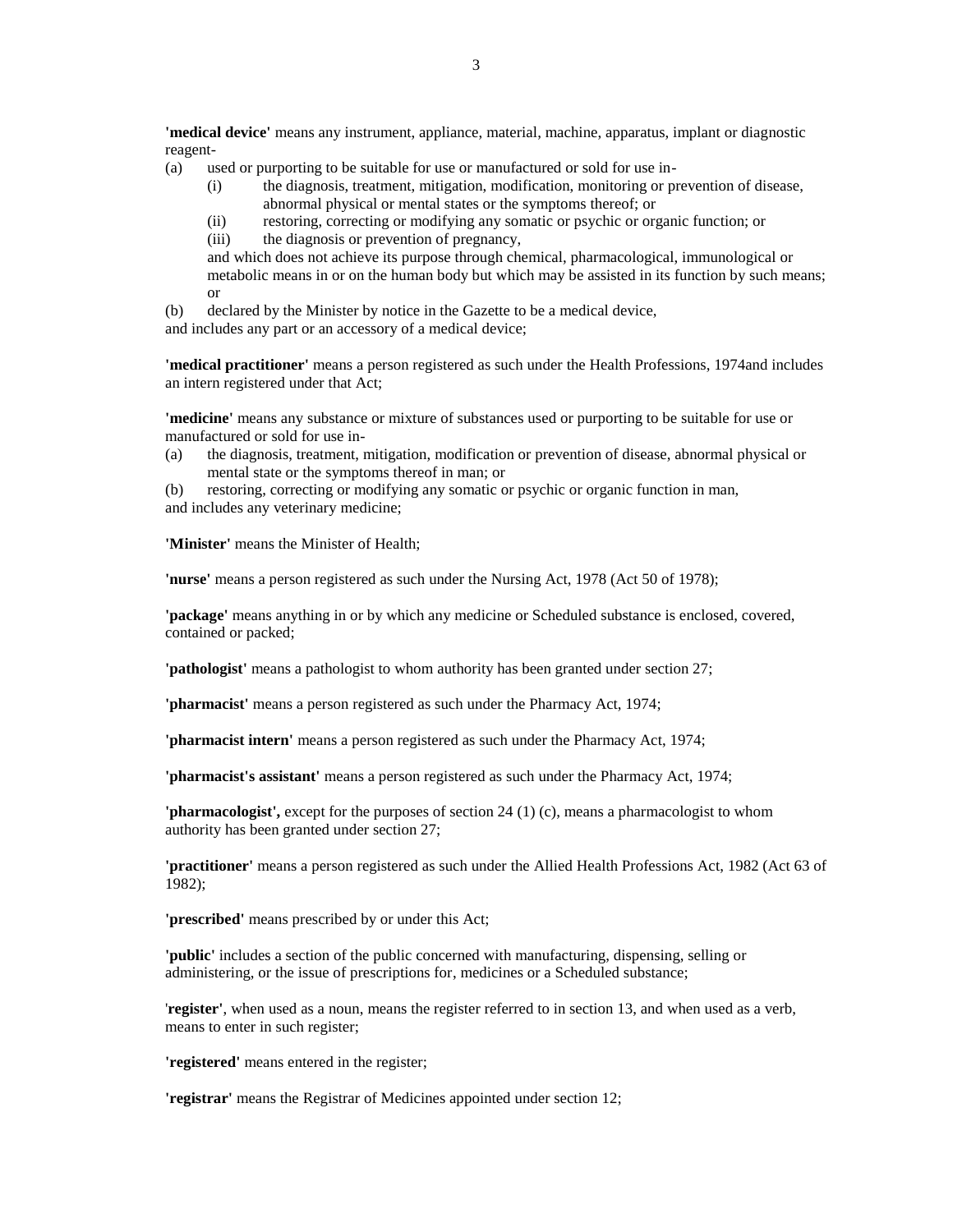**'medical device'** means any instrument, appliance, material, machine, apparatus, implant or diagnostic reagent-

- (a) used or purporting to be suitable for use or manufactured or sold for use in-
	- (i) the diagnosis, treatment, mitigation, modification, monitoring or prevention of disease, abnormal physical or mental states or the symptoms thereof; or
	- (ii) restoring, correcting or modifying any somatic or psychic or organic function; or
	- (iii) the diagnosis or prevention of pregnancy,

and which does not achieve its purpose through chemical, pharmacological, immunological or metabolic means in or on the human body but which may be assisted in its function by such means; or

(b) declared by the Minister by notice in the Gazette to be a medical device,

and includes any part or an accessory of a medical device;

**'medical practitioner'** means a person registered as such under the Health Professions, 1974and includes an intern registered under that Act;

**'medicine'** means any substance or mixture of substances used or purporting to be suitable for use or manufactured or sold for use in-

- (a) the diagnosis, treatment, mitigation, modification or prevention of disease, abnormal physical or mental state or the symptoms thereof in man; or
- (b) restoring, correcting or modifying any somatic or psychic or organic function in man,

and includes any veterinary medicine;

**'Minister'** means the Minister of Health;

**'nurse'** means a person registered as such under the Nursing Act, 1978 (Act 50 of 1978);

**'package'** means anything in or by which any medicine or Scheduled substance is enclosed, covered, contained or packed;

**'pathologist'** means a pathologist to whom authority has been granted under section 27;

**'pharmacist'** means a person registered as such under the Pharmacy Act, 1974;

**'pharmacist intern'** means a person registered as such under the Pharmacy Act, 1974;

**'pharmacist's assistant'** means a person registered as such under the Pharmacy Act, 1974;

**'pharmacologist',** except for the purposes of section 24 (1) (c), means a pharmacologist to whom authority has been granted under section 27;

**'practitioner'** means a person registered as such under the Allied Health Professions Act, 1982 (Act 63 of 1982);

**'prescribed'** means prescribed by or under this Act;

**'public'** includes a section of the public concerned with manufacturing, dispensing, selling or administering, or the issue of prescriptions for, medicines or a Scheduled substance;

'**register'**, when used as a noun, means the register referred to in section 13, and when used as a verb, means to enter in such register;

**'registered'** means entered in the register;

**'registrar'** means the Registrar of Medicines appointed under section 12;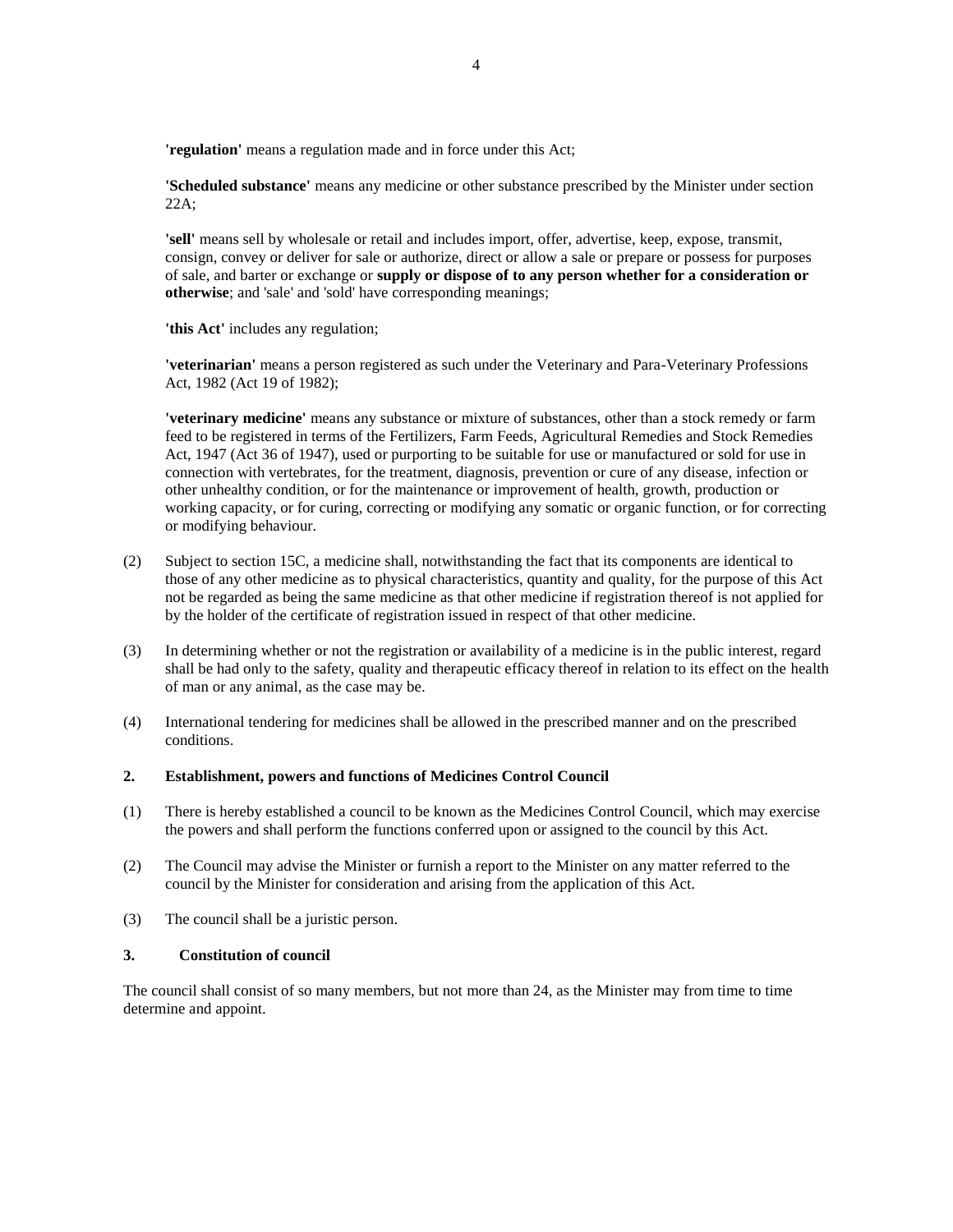**'regulation'** means a regulation made and in force under this Act;

**'Scheduled substance'** means any medicine or other substance prescribed by the Minister under section 22A;

**'sell'** means sell by wholesale or retail and includes import, offer, advertise, keep, expose, transmit, consign, convey or deliver for sale or authorize, direct or allow a sale or prepare or possess for purposes of sale, and barter or exchange or **supply or dispose of to any person whether for a consideration or otherwise**; and 'sale' and 'sold' have corresponding meanings;

**'this Act'** includes any regulation;

**'veterinarian'** means a person registered as such under the Veterinary and Para-Veterinary Professions Act, 1982 (Act 19 of 1982);

**'veterinary medicine'** means any substance or mixture of substances, other than a stock remedy or farm feed to be registered in terms of the Fertilizers, Farm Feeds, Agricultural Remedies and Stock Remedies Act, 1947 (Act 36 of 1947), used or purporting to be suitable for use or manufactured or sold for use in connection with vertebrates, for the treatment, diagnosis, prevention or cure of any disease, infection or other unhealthy condition, or for the maintenance or improvement of health, growth, production or working capacity, or for curing, correcting or modifying any somatic or organic function, or for correcting or modifying behaviour.

- (2) Subject to section 15C, a medicine shall, notwithstanding the fact that its components are identical to those of any other medicine as to physical characteristics, quantity and quality, for the purpose of this Act not be regarded as being the same medicine as that other medicine if registration thereof is not applied for by the holder of the certificate of registration issued in respect of that other medicine.
- (3) In determining whether or not the registration or availability of a medicine is in the public interest, regard shall be had only to the safety, quality and therapeutic efficacy thereof in relation to its effect on the health of man or any animal, as the case may be.
- (4) International tendering for medicines shall be allowed in the prescribed manner and on the prescribed conditions.

#### **2. Establishment, powers and functions of Medicines Control Council**

- (1) There is hereby established a council to be known as the Medicines Control Council, which may exercise the powers and shall perform the functions conferred upon or assigned to the council by this Act.
- (2) The Council may advise the Minister or furnish a report to the Minister on any matter referred to the council by the Minister for consideration and arising from the application of this Act.
- (3) The council shall be a juristic person.

# **3. Constitution of council**

The council shall consist of so many members, but not more than 24, as the Minister may from time to time determine and appoint.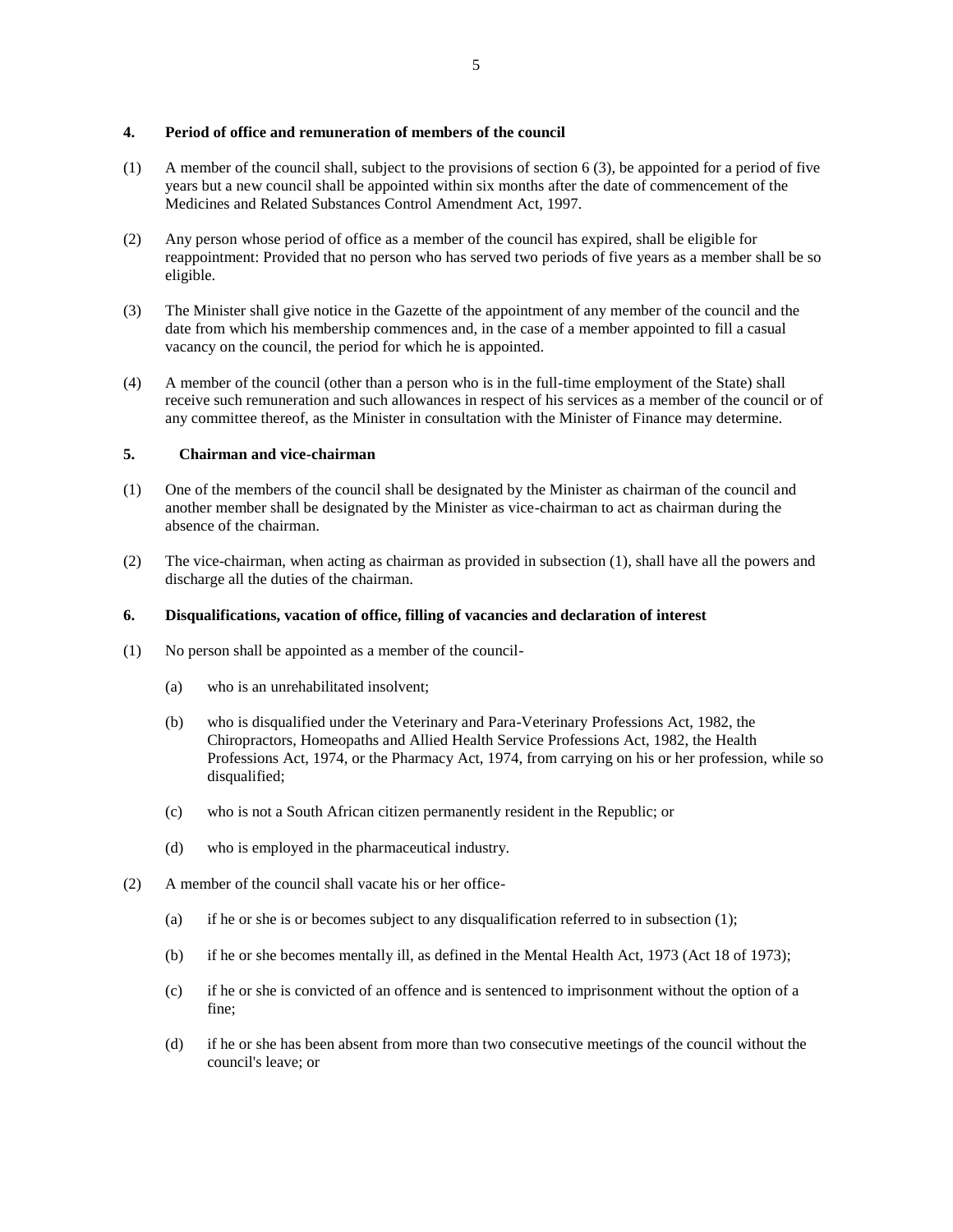## **4. Period of office and remuneration of members of the council**

- (1) A member of the council shall, subject to the provisions of section 6 (3), be appointed for a period of five years but a new council shall be appointed within six months after the date of commencement of the Medicines and Related Substances Control Amendment Act, 1997.
- (2) Any person whose period of office as a member of the council has expired, shall be eligible for reappointment: Provided that no person who has served two periods of five years as a member shall be so eligible.
- (3) The Minister shall give notice in the Gazette of the appointment of any member of the council and the date from which his membership commences and, in the case of a member appointed to fill a casual vacancy on the council, the period for which he is appointed.
- (4) A member of the council (other than a person who is in the full-time employment of the State) shall receive such remuneration and such allowances in respect of his services as a member of the council or of any committee thereof, as the Minister in consultation with the Minister of Finance may determine.

# **5. Chairman and vice-chairman**

- (1) One of the members of the council shall be designated by the Minister as chairman of the council and another member shall be designated by the Minister as vice-chairman to act as chairman during the absence of the chairman.
- (2) The vice-chairman, when acting as chairman as provided in subsection (1), shall have all the powers and discharge all the duties of the chairman.

## **6. Disqualifications, vacation of office, filling of vacancies and declaration of interest**

- (1) No person shall be appointed as a member of the council-
	- (a) who is an unrehabilitated insolvent;
	- (b) who is disqualified under the Veterinary and Para-Veterinary Professions Act, 1982, the Chiropractors, Homeopaths and Allied Health Service Professions Act, 1982, the Health Professions Act, 1974, or the Pharmacy Act, 1974, from carrying on his or her profession, while so disqualified;
	- (c) who is not a South African citizen permanently resident in the Republic; or
	- (d) who is employed in the pharmaceutical industry.
- (2) A member of the council shall vacate his or her office-
	- (a) if he or she is or becomes subject to any disqualification referred to in subsection  $(1)$ ;
	- (b) if he or she becomes mentally ill, as defined in the Mental Health Act, 1973 (Act 18 of 1973);
	- (c) if he or she is convicted of an offence and is sentenced to imprisonment without the option of a fine;
	- (d) if he or she has been absent from more than two consecutive meetings of the council without the council's leave; or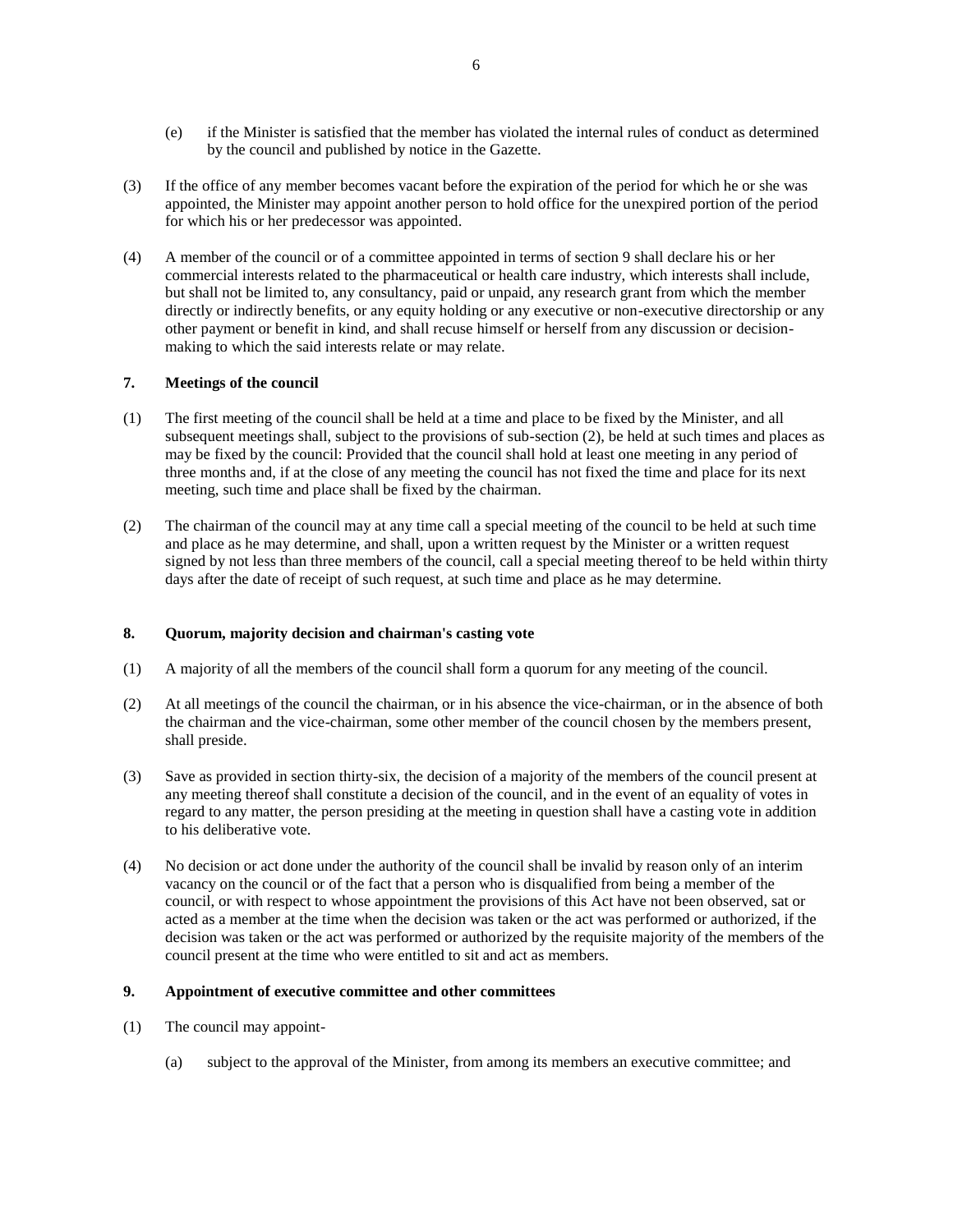- (e) if the Minister is satisfied that the member has violated the internal rules of conduct as determined by the council and published by notice in the Gazette.
- (3) If the office of any member becomes vacant before the expiration of the period for which he or she was appointed, the Minister may appoint another person to hold office for the unexpired portion of the period for which his or her predecessor was appointed.
- (4) A member of the council or of a committee appointed in terms of section 9 shall declare his or her commercial interests related to the pharmaceutical or health care industry, which interests shall include, but shall not be limited to, any consultancy, paid or unpaid, any research grant from which the member directly or indirectly benefits, or any equity holding or any executive or non-executive directorship or any other payment or benefit in kind, and shall recuse himself or herself from any discussion or decisionmaking to which the said interests relate or may relate.

# **7. Meetings of the council**

- (1) The first meeting of the council shall be held at a time and place to be fixed by the Minister, and all subsequent meetings shall, subject to the provisions of sub-section (2), be held at such times and places as may be fixed by the council: Provided that the council shall hold at least one meeting in any period of three months and, if at the close of any meeting the council has not fixed the time and place for its next meeting, such time and place shall be fixed by the chairman.
- (2) The chairman of the council may at any time call a special meeting of the council to be held at such time and place as he may determine, and shall, upon a written request by the Minister or a written request signed by not less than three members of the council, call a special meeting thereof to be held within thirty days after the date of receipt of such request, at such time and place as he may determine.

### **8. Quorum, majority decision and chairman's casting vote**

- (1) A majority of all the members of the council shall form a quorum for any meeting of the council.
- (2) At all meetings of the council the chairman, or in his absence the vice-chairman, or in the absence of both the chairman and the vice-chairman, some other member of the council chosen by the members present, shall preside.
- (3) Save as provided in section thirty-six, the decision of a majority of the members of the council present at any meeting thereof shall constitute a decision of the council, and in the event of an equality of votes in regard to any matter, the person presiding at the meeting in question shall have a casting vote in addition to his deliberative vote.
- (4) No decision or act done under the authority of the council shall be invalid by reason only of an interim vacancy on the council or of the fact that a person who is disqualified from being a member of the council, or with respect to whose appointment the provisions of this Act have not been observed, sat or acted as a member at the time when the decision was taken or the act was performed or authorized, if the decision was taken or the act was performed or authorized by the requisite majority of the members of the council present at the time who were entitled to sit and act as members.

# **9. Appointment of executive committee and other committees**

- (1) The council may appoint-
	- (a) subject to the approval of the Minister, from among its members an executive committee; and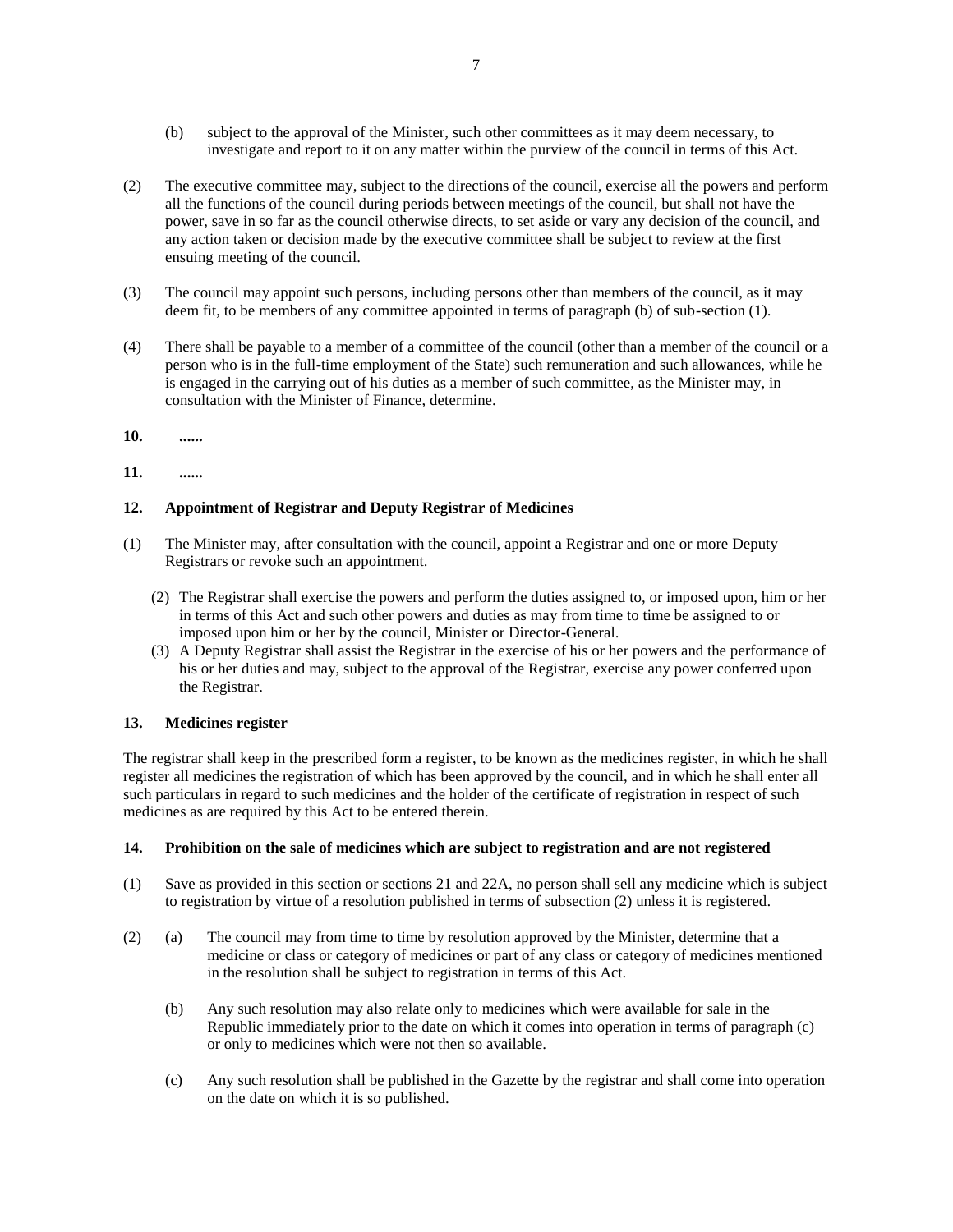- (b) subject to the approval of the Minister, such other committees as it may deem necessary, to investigate and report to it on any matter within the purview of the council in terms of this Act.
- (2) The executive committee may, subject to the directions of the council, exercise all the powers and perform all the functions of the council during periods between meetings of the council, but shall not have the power, save in so far as the council otherwise directs, to set aside or vary any decision of the council, and any action taken or decision made by the executive committee shall be subject to review at the first ensuing meeting of the council.
- (3) The council may appoint such persons, including persons other than members of the council, as it may deem fit, to be members of any committee appointed in terms of paragraph (b) of sub-section (1).
- (4) There shall be payable to a member of a committee of the council (other than a member of the council or a person who is in the full-time employment of the State) such remuneration and such allowances, while he is engaged in the carrying out of his duties as a member of such committee, as the Minister may, in consultation with the Minister of Finance, determine.
- **10. ......**

# **11. ......**

# **12. Appointment of Registrar and Deputy Registrar of Medicines**

- (1) The Minister may, after consultation with the council, appoint a Registrar and one or more Deputy Registrars or revoke such an appointment.
	- (2) The Registrar shall exercise the powers and perform the duties assigned to, or imposed upon, him or her in terms of this Act and such other powers and duties as may from time to time be assigned to or imposed upon him or her by the council, Minister or Director-General.
	- (3) A Deputy Registrar shall assist the Registrar in the exercise of his or her powers and the performance of his or her duties and may, subject to the approval of the Registrar, exercise any power conferred upon the Registrar.

### **13. Medicines register**

The registrar shall keep in the prescribed form a register, to be known as the medicines register, in which he shall register all medicines the registration of which has been approved by the council, and in which he shall enter all such particulars in regard to such medicines and the holder of the certificate of registration in respect of such medicines as are required by this Act to be entered therein.

### **14. Prohibition on the sale of medicines which are subject to registration and are not registered**

- (1) Save as provided in this section or sections 21 and 22A, no person shall sell any medicine which is subject to registration by virtue of a resolution published in terms of subsection (2) unless it is registered.
- (2) (a) The council may from time to time by resolution approved by the Minister, determine that a medicine or class or category of medicines or part of any class or category of medicines mentioned in the resolution shall be subject to registration in terms of this Act.
	- (b) Any such resolution may also relate only to medicines which were available for sale in the Republic immediately prior to the date on which it comes into operation in terms of paragraph (c) or only to medicines which were not then so available.
	- (c) Any such resolution shall be published in the Gazette by the registrar and shall come into operation on the date on which it is so published.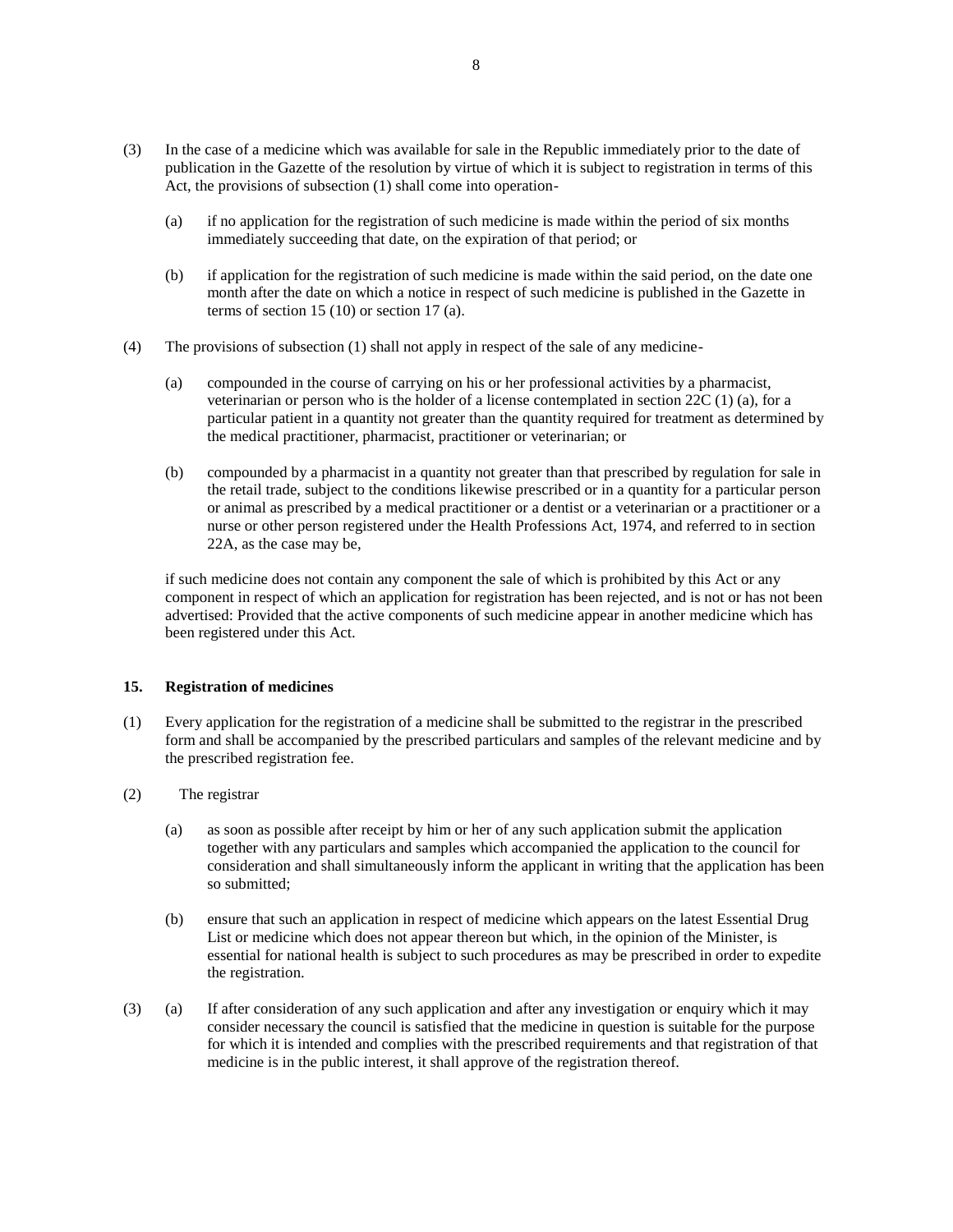- (3) In the case of a medicine which was available for sale in the Republic immediately prior to the date of publication in the Gazette of the resolution by virtue of which it is subject to registration in terms of this Act, the provisions of subsection (1) shall come into operation-
	- (a) if no application for the registration of such medicine is made within the period of six months immediately succeeding that date, on the expiration of that period; or
	- (b) if application for the registration of such medicine is made within the said period, on the date one month after the date on which a notice in respect of such medicine is published in the Gazette in terms of section 15 (10) or section 17 (a).
- (4) The provisions of subsection (1) shall not apply in respect of the sale of any medicine-
	- (a) compounded in the course of carrying on his or her professional activities by a pharmacist, veterinarian or person who is the holder of a license contemplated in section 22C (1) (a), for a particular patient in a quantity not greater than the quantity required for treatment as determined by the medical practitioner, pharmacist, practitioner or veterinarian; or
	- (b) compounded by a pharmacist in a quantity not greater than that prescribed by regulation for sale in the retail trade, subject to the conditions likewise prescribed or in a quantity for a particular person or animal as prescribed by a medical practitioner or a dentist or a veterinarian or a practitioner or a nurse or other person registered under the Health Professions Act, 1974, and referred to in section 22A, as the case may be,

if such medicine does not contain any component the sale of which is prohibited by this Act or any component in respect of which an application for registration has been rejected, and is not or has not been advertised: Provided that the active components of such medicine appear in another medicine which has been registered under this Act.

### **15. Registration of medicines**

- (1) Every application for the registration of a medicine shall be submitted to the registrar in the prescribed form and shall be accompanied by the prescribed particulars and samples of the relevant medicine and by the prescribed registration fee.
- (2) The registrar
	- (a) as soon as possible after receipt by him or her of any such application submit the application together with any particulars and samples which accompanied the application to the council for consideration and shall simultaneously inform the applicant in writing that the application has been so submitted;
	- (b) ensure that such an application in respect of medicine which appears on the latest Essential Drug List or medicine which does not appear thereon but which, in the opinion of the Minister, is essential for national health is subject to such procedures as may be prescribed in order to expedite the registration.
- (3) (a) If after consideration of any such application and after any investigation or enquiry which it may consider necessary the council is satisfied that the medicine in question is suitable for the purpose for which it is intended and complies with the prescribed requirements and that registration of that medicine is in the public interest, it shall approve of the registration thereof.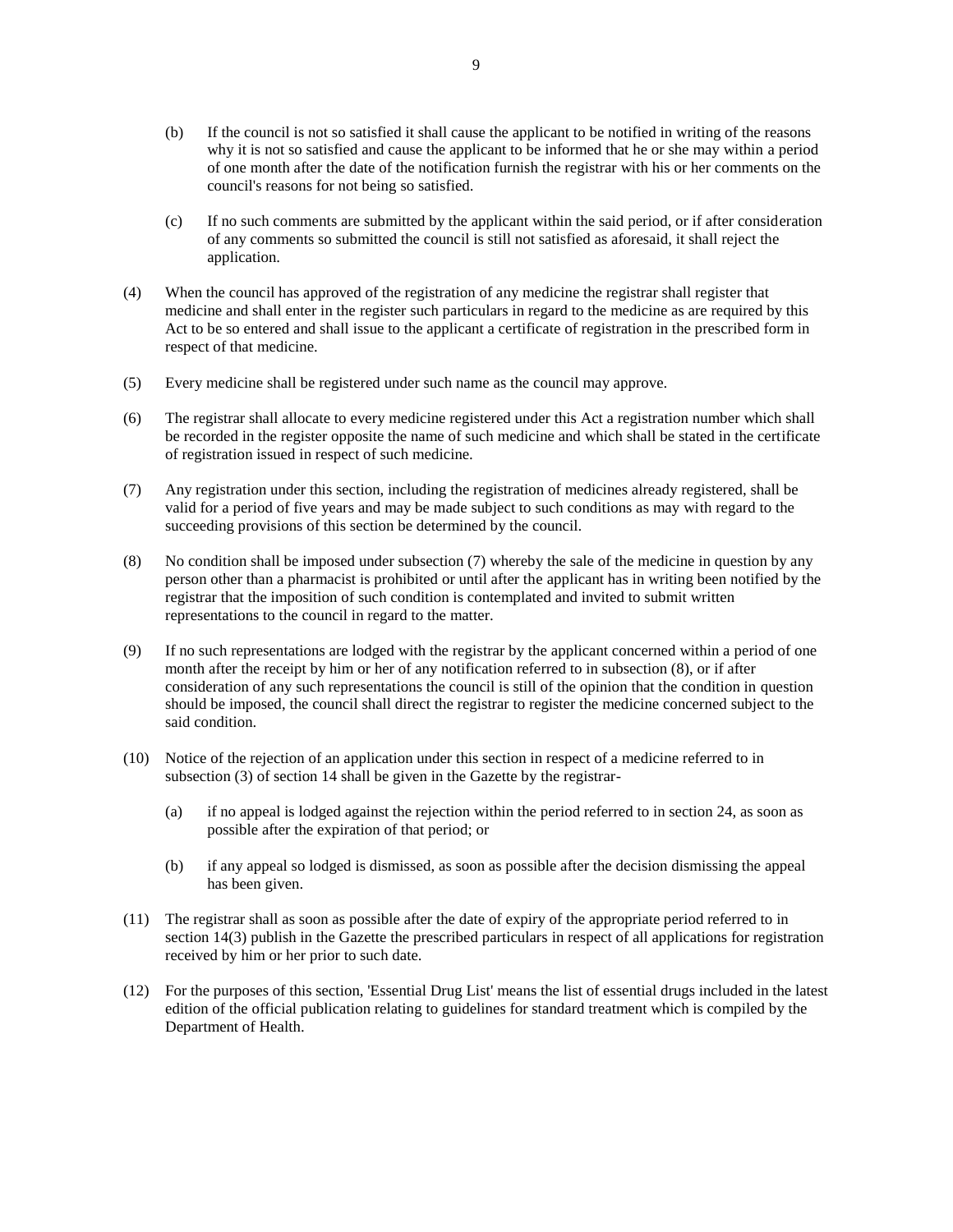- (b) If the council is not so satisfied it shall cause the applicant to be notified in writing of the reasons why it is not so satisfied and cause the applicant to be informed that he or she may within a period of one month after the date of the notification furnish the registrar with his or her comments on the council's reasons for not being so satisfied.
- (c) If no such comments are submitted by the applicant within the said period, or if after consideration of any comments so submitted the council is still not satisfied as aforesaid, it shall reject the application.
- (4) When the council has approved of the registration of any medicine the registrar shall register that medicine and shall enter in the register such particulars in regard to the medicine as are required by this Act to be so entered and shall issue to the applicant a certificate of registration in the prescribed form in respect of that medicine.
- (5) Every medicine shall be registered under such name as the council may approve.
- (6) The registrar shall allocate to every medicine registered under this Act a registration number which shall be recorded in the register opposite the name of such medicine and which shall be stated in the certificate of registration issued in respect of such medicine.
- (7) Any registration under this section, including the registration of medicines already registered, shall be valid for a period of five years and may be made subject to such conditions as may with regard to the succeeding provisions of this section be determined by the council.
- (8) No condition shall be imposed under subsection (7) whereby the sale of the medicine in question by any person other than a pharmacist is prohibited or until after the applicant has in writing been notified by the registrar that the imposition of such condition is contemplated and invited to submit written representations to the council in regard to the matter.
- (9) If no such representations are lodged with the registrar by the applicant concerned within a period of one month after the receipt by him or her of any notification referred to in subsection (8), or if after consideration of any such representations the council is still of the opinion that the condition in question should be imposed, the council shall direct the registrar to register the medicine concerned subject to the said condition.
- (10) Notice of the rejection of an application under this section in respect of a medicine referred to in subsection (3) of section 14 shall be given in the Gazette by the registrar-
	- (a) if no appeal is lodged against the rejection within the period referred to in section 24, as soon as possible after the expiration of that period; or
	- (b) if any appeal so lodged is dismissed, as soon as possible after the decision dismissing the appeal has been given.
- (11) The registrar shall as soon as possible after the date of expiry of the appropriate period referred to in section 14(3) publish in the Gazette the prescribed particulars in respect of all applications for registration received by him or her prior to such date.
- (12) For the purposes of this section, 'Essential Drug List' means the list of essential drugs included in the latest edition of the official publication relating to guidelines for standard treatment which is compiled by the Department of Health.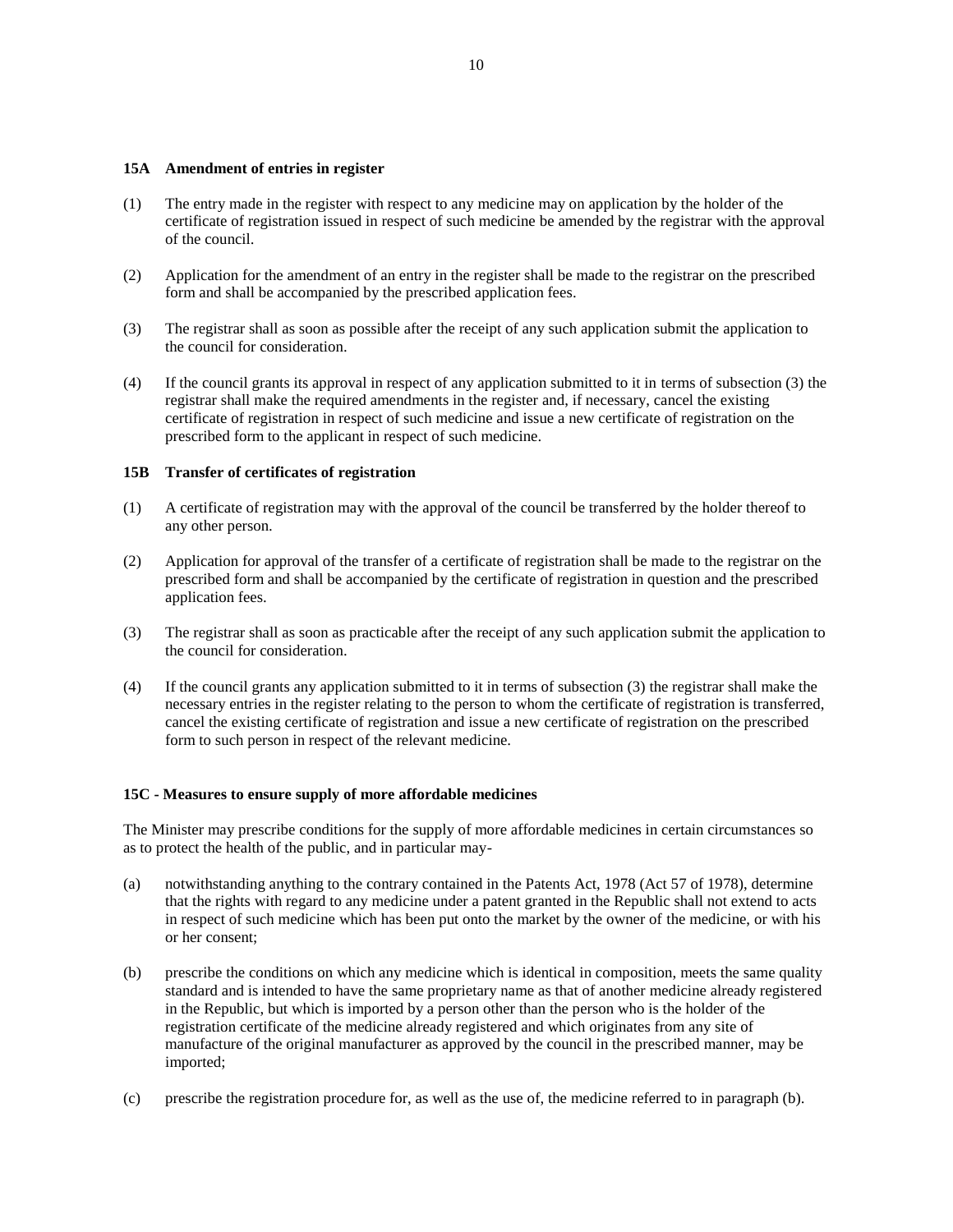### **15A Amendment of entries in register**

- (1) The entry made in the register with respect to any medicine may on application by the holder of the certificate of registration issued in respect of such medicine be amended by the registrar with the approval of the council.
- (2) Application for the amendment of an entry in the register shall be made to the registrar on the prescribed form and shall be accompanied by the prescribed application fees.
- (3) The registrar shall as soon as possible after the receipt of any such application submit the application to the council for consideration.
- (4) If the council grants its approval in respect of any application submitted to it in terms of subsection (3) the registrar shall make the required amendments in the register and, if necessary, cancel the existing certificate of registration in respect of such medicine and issue a new certificate of registration on the prescribed form to the applicant in respect of such medicine.

### **15B Transfer of certificates of registration**

- (1) A certificate of registration may with the approval of the council be transferred by the holder thereof to any other person.
- (2) Application for approval of the transfer of a certificate of registration shall be made to the registrar on the prescribed form and shall be accompanied by the certificate of registration in question and the prescribed application fees.
- (3) The registrar shall as soon as practicable after the receipt of any such application submit the application to the council for consideration.
- (4) If the council grants any application submitted to it in terms of subsection (3) the registrar shall make the necessary entries in the register relating to the person to whom the certificate of registration is transferred, cancel the existing certificate of registration and issue a new certificate of registration on the prescribed form to such person in respect of the relevant medicine.

### **15C - Measures to ensure supply of more affordable medicines**

The Minister may prescribe conditions for the supply of more affordable medicines in certain circumstances so as to protect the health of the public, and in particular may-

- (a) notwithstanding anything to the contrary contained in the Patents Act, 1978 (Act 57 of 1978), determine that the rights with regard to any medicine under a patent granted in the Republic shall not extend to acts in respect of such medicine which has been put onto the market by the owner of the medicine, or with his or her consent;
- (b) prescribe the conditions on which any medicine which is identical in composition, meets the same quality standard and is intended to have the same proprietary name as that of another medicine already registered in the Republic, but which is imported by a person other than the person who is the holder of the registration certificate of the medicine already registered and which originates from any site of manufacture of the original manufacturer as approved by the council in the prescribed manner, may be imported;
- (c) prescribe the registration procedure for, as well as the use of, the medicine referred to in paragraph (b).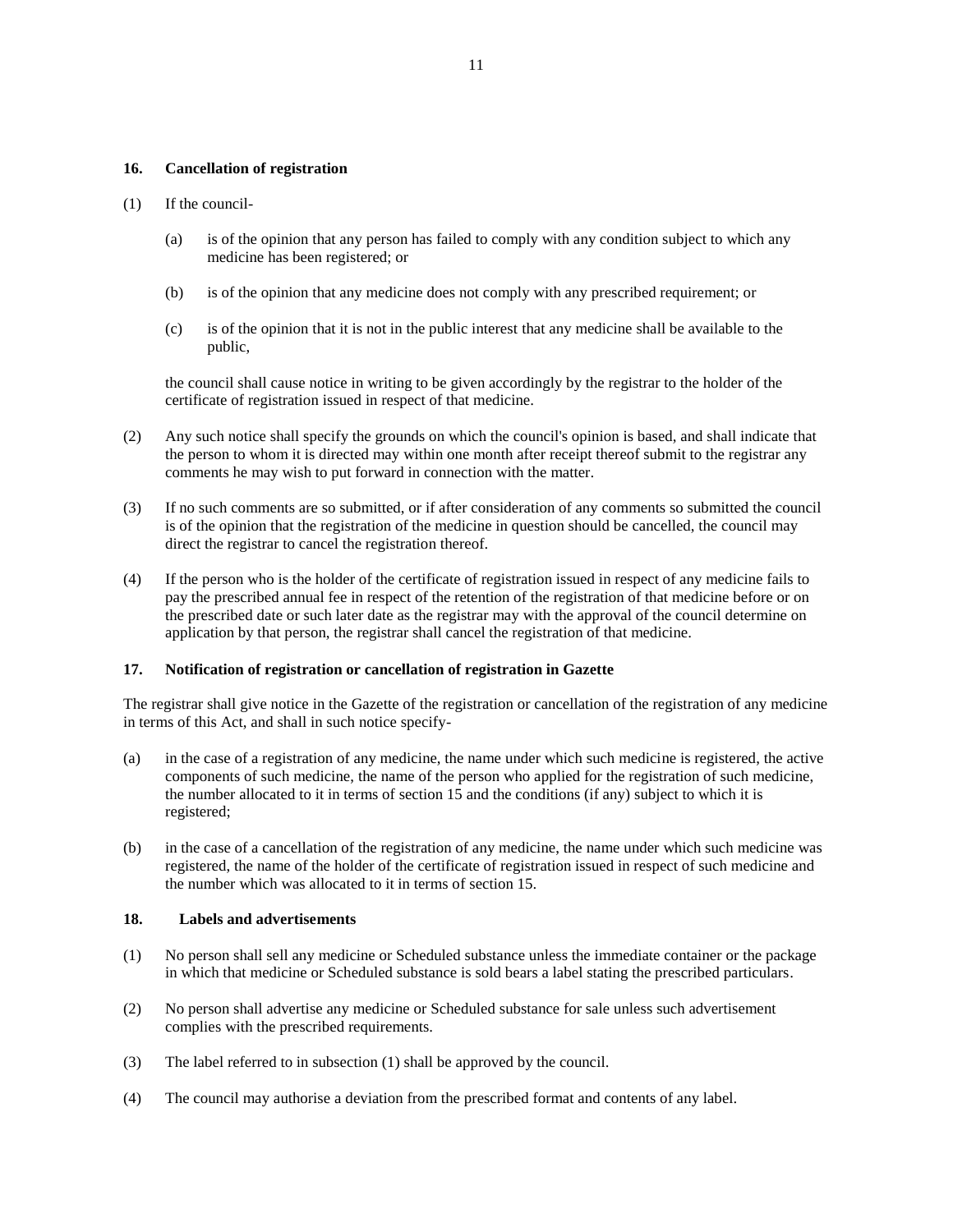### **16. Cancellation of registration**

#### (1) If the council-

- (a) is of the opinion that any person has failed to comply with any condition subject to which any medicine has been registered; or
- (b) is of the opinion that any medicine does not comply with any prescribed requirement; or
- (c) is of the opinion that it is not in the public interest that any medicine shall be available to the public,

the council shall cause notice in writing to be given accordingly by the registrar to the holder of the certificate of registration issued in respect of that medicine.

- (2) Any such notice shall specify the grounds on which the council's opinion is based, and shall indicate that the person to whom it is directed may within one month after receipt thereof submit to the registrar any comments he may wish to put forward in connection with the matter.
- (3) If no such comments are so submitted, or if after consideration of any comments so submitted the council is of the opinion that the registration of the medicine in question should be cancelled, the council may direct the registrar to cancel the registration thereof.
- (4) If the person who is the holder of the certificate of registration issued in respect of any medicine fails to pay the prescribed annual fee in respect of the retention of the registration of that medicine before or on the prescribed date or such later date as the registrar may with the approval of the council determine on application by that person, the registrar shall cancel the registration of that medicine.

### **17. Notification of registration or cancellation of registration in Gazette**

The registrar shall give notice in the Gazette of the registration or cancellation of the registration of any medicine in terms of this Act, and shall in such notice specify-

- (a) in the case of a registration of any medicine, the name under which such medicine is registered, the active components of such medicine, the name of the person who applied for the registration of such medicine, the number allocated to it in terms of section 15 and the conditions (if any) subject to which it is registered;
- (b) in the case of a cancellation of the registration of any medicine, the name under which such medicine was registered, the name of the holder of the certificate of registration issued in respect of such medicine and the number which was allocated to it in terms of section 15.

### **18. Labels and advertisements**

- (1) No person shall sell any medicine or Scheduled substance unless the immediate container or the package in which that medicine or Scheduled substance is sold bears a label stating the prescribed particulars.
- (2) No person shall advertise any medicine or Scheduled substance for sale unless such advertisement complies with the prescribed requirements.
- (3) The label referred to in subsection (1) shall be approved by the council.
- (4) The council may authorise a deviation from the prescribed format and contents of any label.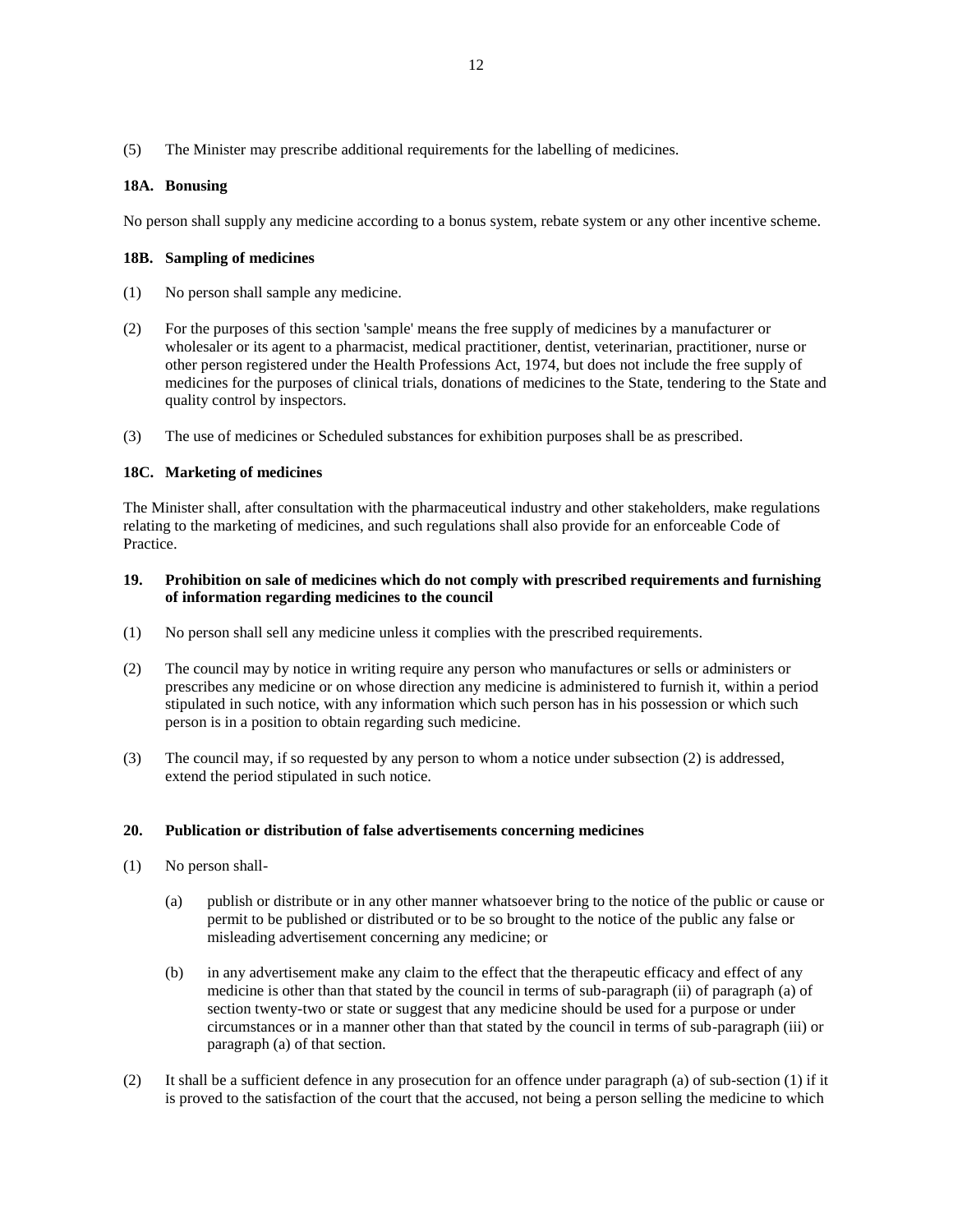# **18A. Bonusing**

No person shall supply any medicine according to a bonus system, rebate system or any other incentive scheme.

### **18B. Sampling of medicines**

- (1) No person shall sample any medicine.
- (2) For the purposes of this section 'sample' means the free supply of medicines by a manufacturer or wholesaler or its agent to a pharmacist, medical practitioner, dentist, veterinarian, practitioner, nurse or other person registered under the Health Professions Act, 1974, but does not include the free supply of medicines for the purposes of clinical trials, donations of medicines to the State, tendering to the State and quality control by inspectors.
- (3) The use of medicines or Scheduled substances for exhibition purposes shall be as prescribed.

#### **18C. Marketing of medicines**

The Minister shall, after consultation with the pharmaceutical industry and other stakeholders, make regulations relating to the marketing of medicines, and such regulations shall also provide for an enforceable Code of Practice.

# **19. Prohibition on sale of medicines which do not comply with prescribed requirements and furnishing of information regarding medicines to the council**

- (1) No person shall sell any medicine unless it complies with the prescribed requirements.
- (2) The council may by notice in writing require any person who manufactures or sells or administers or prescribes any medicine or on whose direction any medicine is administered to furnish it, within a period stipulated in such notice, with any information which such person has in his possession or which such person is in a position to obtain regarding such medicine.
- (3) The council may, if so requested by any person to whom a notice under subsection (2) is addressed, extend the period stipulated in such notice.

### **20. Publication or distribution of false advertisements concerning medicines**

- (1) No person shall-
	- (a) publish or distribute or in any other manner whatsoever bring to the notice of the public or cause or permit to be published or distributed or to be so brought to the notice of the public any false or misleading advertisement concerning any medicine; or
	- (b) in any advertisement make any claim to the effect that the therapeutic efficacy and effect of any medicine is other than that stated by the council in terms of sub-paragraph (ii) of paragraph (a) of section twenty-two or state or suggest that any medicine should be used for a purpose or under circumstances or in a manner other than that stated by the council in terms of sub-paragraph (iii) or paragraph (a) of that section.
- (2) It shall be a sufficient defence in any prosecution for an offence under paragraph (a) of sub-section (1) if it is proved to the satisfaction of the court that the accused, not being a person selling the medicine to which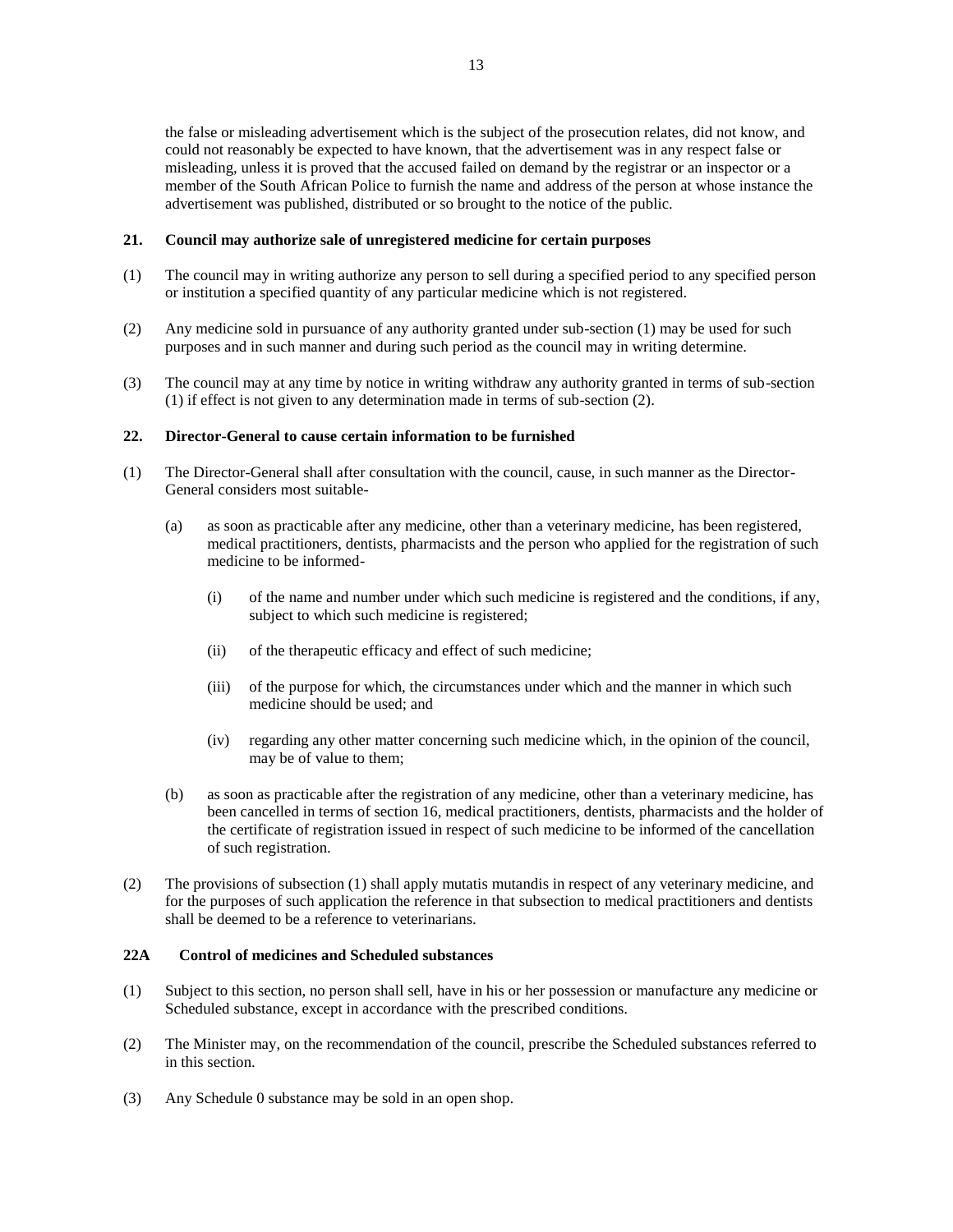the false or misleading advertisement which is the subject of the prosecution relates, did not know, and could not reasonably be expected to have known, that the advertisement was in any respect false or misleading, unless it is proved that the accused failed on demand by the registrar or an inspector or a member of the South African Police to furnish the name and address of the person at whose instance the advertisement was published, distributed or so brought to the notice of the public.

# **21. Council may authorize sale of unregistered medicine for certain purposes**

- (1) The council may in writing authorize any person to sell during a specified period to any specified person or institution a specified quantity of any particular medicine which is not registered.
- (2) Any medicine sold in pursuance of any authority granted under sub-section (1) may be used for such purposes and in such manner and during such period as the council may in writing determine.
- (3) The council may at any time by notice in writing withdraw any authority granted in terms of sub-section (1) if effect is not given to any determination made in terms of sub-section (2).

# **22. Director-General to cause certain information to be furnished**

- (1) The Director-General shall after consultation with the council, cause, in such manner as the Director-General considers most suitable-
	- (a) as soon as practicable after any medicine, other than a veterinary medicine, has been registered, medical practitioners, dentists, pharmacists and the person who applied for the registration of such medicine to be informed-
		- (i) of the name and number under which such medicine is registered and the conditions, if any, subject to which such medicine is registered;
		- (ii) of the therapeutic efficacy and effect of such medicine;
		- (iii) of the purpose for which, the circumstances under which and the manner in which such medicine should be used; and
		- (iv) regarding any other matter concerning such medicine which, in the opinion of the council, may be of value to them;
	- (b) as soon as practicable after the registration of any medicine, other than a veterinary medicine, has been cancelled in terms of section 16, medical practitioners, dentists, pharmacists and the holder of the certificate of registration issued in respect of such medicine to be informed of the cancellation of such registration.
- (2) The provisions of subsection (1) shall apply mutatis mutandis in respect of any veterinary medicine, and for the purposes of such application the reference in that subsection to medical practitioners and dentists shall be deemed to be a reference to veterinarians.

# **22A Control of medicines and Scheduled substances**

- (1) Subject to this section, no person shall sell, have in his or her possession or manufacture any medicine or Scheduled substance, except in accordance with the prescribed conditions.
- (2) The Minister may, on the recommendation of the council, prescribe the Scheduled substances referred to in this section.
- (3) Any Schedule 0 substance may be sold in an open shop.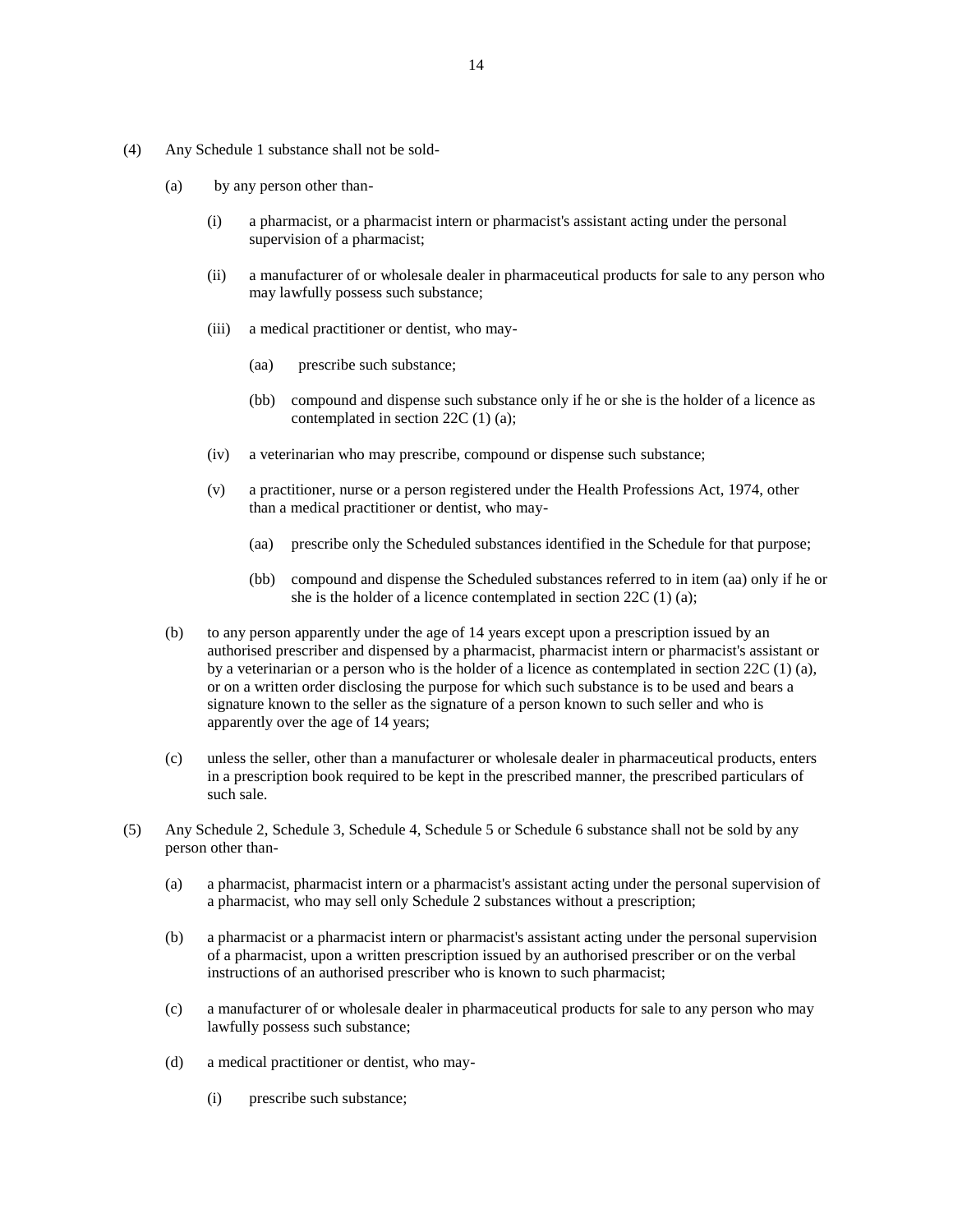- (4) Any Schedule 1 substance shall not be sold-
	- (a) by any person other than-
		- (i) a pharmacist, or a pharmacist intern or pharmacist's assistant acting under the personal supervision of a pharmacist;
		- (ii) a manufacturer of or wholesale dealer in pharmaceutical products for sale to any person who may lawfully possess such substance;
		- (iii) a medical practitioner or dentist, who may-
			- (aa) prescribe such substance;
			- (bb) compound and dispense such substance only if he or she is the holder of a licence as contemplated in section 22C (1) (a);
		- (iv) a veterinarian who may prescribe, compound or dispense such substance;
		- (v) a practitioner, nurse or a person registered under the Health Professions Act, 1974, other than a medical practitioner or dentist, who may-
			- (aa) prescribe only the Scheduled substances identified in the Schedule for that purpose;
			- (bb) compound and dispense the Scheduled substances referred to in item (aa) only if he or she is the holder of a licence contemplated in section 22C (1) (a);
	- (b) to any person apparently under the age of 14 years except upon a prescription issued by an authorised prescriber and dispensed by a pharmacist, pharmacist intern or pharmacist's assistant or by a veterinarian or a person who is the holder of a licence as contemplated in section 22C (1) (a), or on a written order disclosing the purpose for which such substance is to be used and bears a signature known to the seller as the signature of a person known to such seller and who is apparently over the age of 14 years;
	- (c) unless the seller, other than a manufacturer or wholesale dealer in pharmaceutical products, enters in a prescription book required to be kept in the prescribed manner, the prescribed particulars of such sale.
- (5) Any Schedule 2, Schedule 3, Schedule 4, Schedule 5 or Schedule 6 substance shall not be sold by any person other than-
	- (a) a pharmacist, pharmacist intern or a pharmacist's assistant acting under the personal supervision of a pharmacist, who may sell only Schedule 2 substances without a prescription;
	- (b) a pharmacist or a pharmacist intern or pharmacist's assistant acting under the personal supervision of a pharmacist, upon a written prescription issued by an authorised prescriber or on the verbal instructions of an authorised prescriber who is known to such pharmacist;
	- (c) a manufacturer of or wholesale dealer in pharmaceutical products for sale to any person who may lawfully possess such substance;
	- (d) a medical practitioner or dentist, who may-
		- (i) prescribe such substance;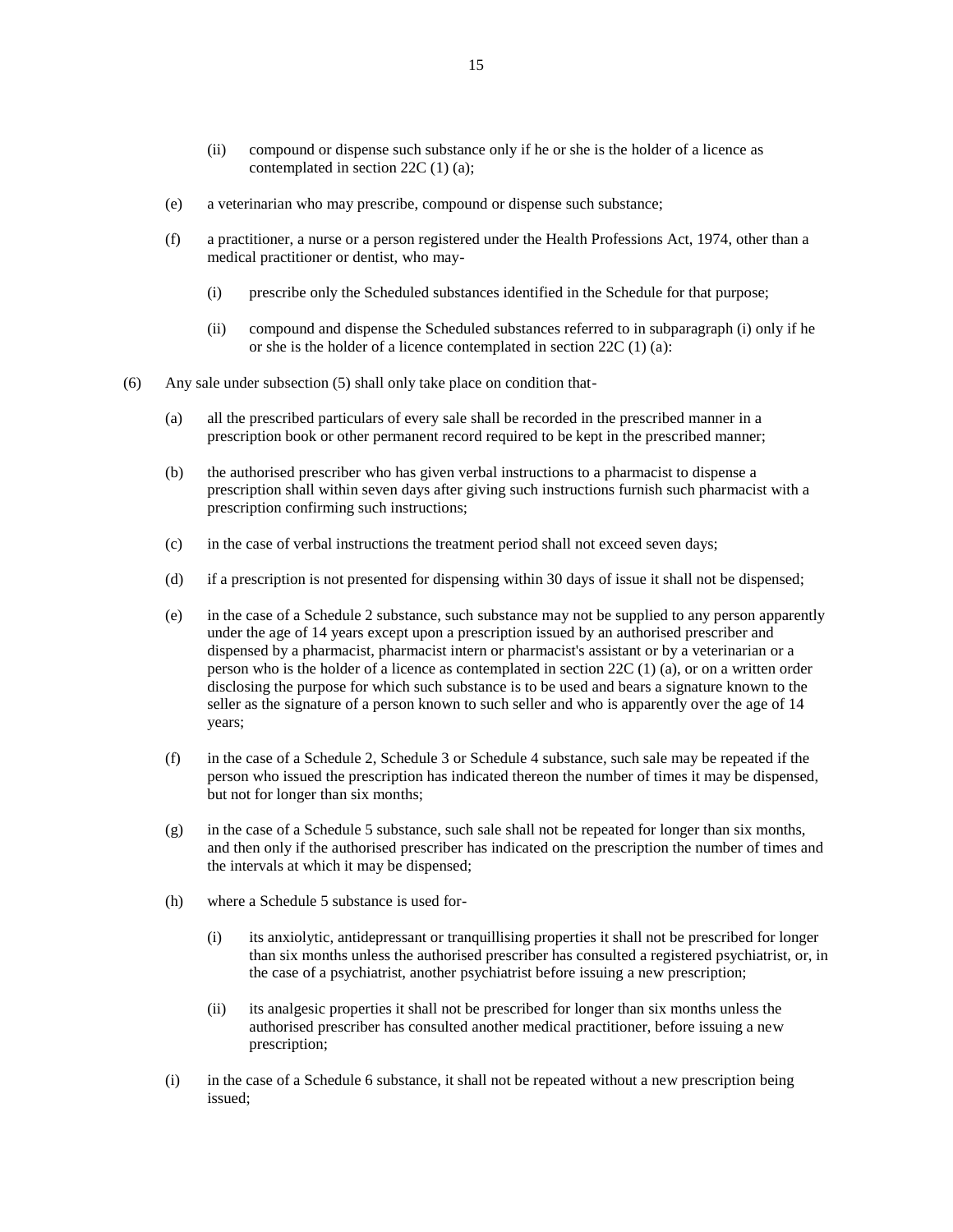- (ii) compound or dispense such substance only if he or she is the holder of a licence as contemplated in section 22C (1) (a);
- (e) a veterinarian who may prescribe, compound or dispense such substance;
- (f) a practitioner, a nurse or a person registered under the Health Professions Act, 1974, other than a medical practitioner or dentist, who may-
	- (i) prescribe only the Scheduled substances identified in the Schedule for that purpose;
	- (ii) compound and dispense the Scheduled substances referred to in subparagraph (i) only if he or she is the holder of a licence contemplated in section 22C (1) (a):
- (6) Any sale under subsection (5) shall only take place on condition that-
	- (a) all the prescribed particulars of every sale shall be recorded in the prescribed manner in a prescription book or other permanent record required to be kept in the prescribed manner;
	- (b) the authorised prescriber who has given verbal instructions to a pharmacist to dispense a prescription shall within seven days after giving such instructions furnish such pharmacist with a prescription confirming such instructions;
	- (c) in the case of verbal instructions the treatment period shall not exceed seven days;
	- (d) if a prescription is not presented for dispensing within 30 days of issue it shall not be dispensed;
	- (e) in the case of a Schedule 2 substance, such substance may not be supplied to any person apparently under the age of 14 years except upon a prescription issued by an authorised prescriber and dispensed by a pharmacist, pharmacist intern or pharmacist's assistant or by a veterinarian or a person who is the holder of a licence as contemplated in section 22C (1) (a), or on a written order disclosing the purpose for which such substance is to be used and bears a signature known to the seller as the signature of a person known to such seller and who is apparently over the age of 14 years;
	- (f) in the case of a Schedule 2, Schedule 3 or Schedule 4 substance, such sale may be repeated if the person who issued the prescription has indicated thereon the number of times it may be dispensed, but not for longer than six months;
	- (g) in the case of a Schedule 5 substance, such sale shall not be repeated for longer than six months, and then only if the authorised prescriber has indicated on the prescription the number of times and the intervals at which it may be dispensed;
	- (h) where a Schedule 5 substance is used for-
		- (i) its anxiolytic, antidepressant or tranquillising properties it shall not be prescribed for longer than six months unless the authorised prescriber has consulted a registered psychiatrist, or, in the case of a psychiatrist, another psychiatrist before issuing a new prescription;
		- (ii) its analgesic properties it shall not be prescribed for longer than six months unless the authorised prescriber has consulted another medical practitioner, before issuing a new prescription;
	- (i) in the case of a Schedule 6 substance, it shall not be repeated without a new prescription being issued;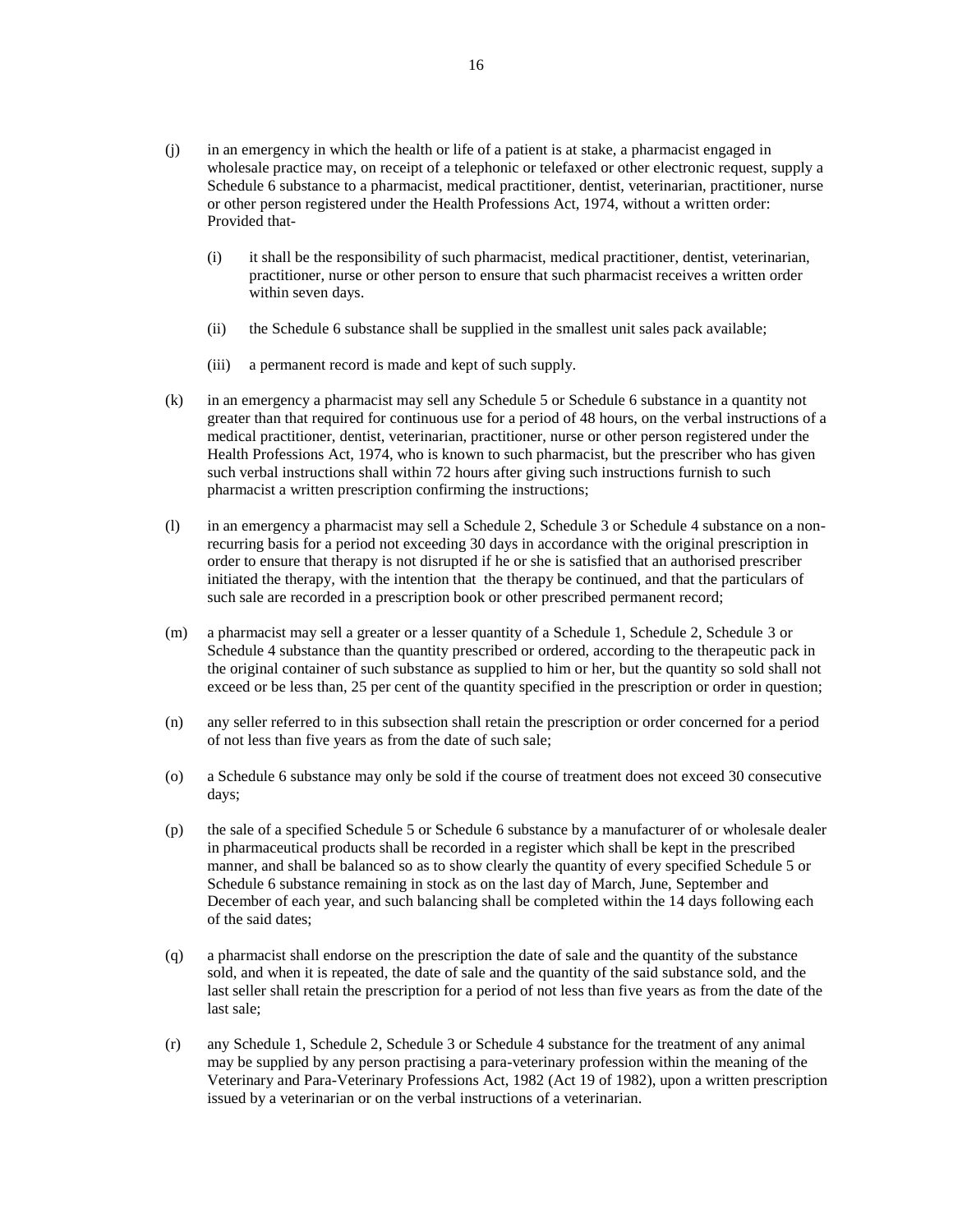- (j) in an emergency in which the health or life of a patient is at stake, a pharmacist engaged in wholesale practice may, on receipt of a telephonic or telefaxed or other electronic request, supply a Schedule 6 substance to a pharmacist, medical practitioner, dentist, veterinarian, practitioner, nurse or other person registered under the Health Professions Act, 1974, without a written order: Provided that-
	- (i) it shall be the responsibility of such pharmacist, medical practitioner, dentist, veterinarian, practitioner, nurse or other person to ensure that such pharmacist receives a written order within seven days.
	- (ii) the Schedule 6 substance shall be supplied in the smallest unit sales pack available;
	- (iii) a permanent record is made and kept of such supply.
- (k) in an emergency a pharmacist may sell any Schedule 5 or Schedule 6 substance in a quantity not greater than that required for continuous use for a period of 48 hours, on the verbal instructions of a medical practitioner, dentist, veterinarian, practitioner, nurse or other person registered under the Health Professions Act, 1974, who is known to such pharmacist, but the prescriber who has given such verbal instructions shall within 72 hours after giving such instructions furnish to such pharmacist a written prescription confirming the instructions;
- (l) in an emergency a pharmacist may sell a Schedule 2, Schedule 3 or Schedule 4 substance on a nonrecurring basis for a period not exceeding 30 days in accordance with the original prescription in order to ensure that therapy is not disrupted if he or she is satisfied that an authorised prescriber initiated the therapy, with the intention that the therapy be continued, and that the particulars of such sale are recorded in a prescription book or other prescribed permanent record;
- (m) a pharmacist may sell a greater or a lesser quantity of a Schedule 1, Schedule 2, Schedule 3 or Schedule 4 substance than the quantity prescribed or ordered, according to the therapeutic pack in the original container of such substance as supplied to him or her, but the quantity so sold shall not exceed or be less than, 25 per cent of the quantity specified in the prescription or order in question;
- (n) any seller referred to in this subsection shall retain the prescription or order concerned for a period of not less than five years as from the date of such sale;
- (o) a Schedule 6 substance may only be sold if the course of treatment does not exceed 30 consecutive days;
- (p) the sale of a specified Schedule 5 or Schedule 6 substance by a manufacturer of or wholesale dealer in pharmaceutical products shall be recorded in a register which shall be kept in the prescribed manner, and shall be balanced so as to show clearly the quantity of every specified Schedule 5 or Schedule 6 substance remaining in stock as on the last day of March, June, September and December of each year, and such balancing shall be completed within the 14 days following each of the said dates;
- (q) a pharmacist shall endorse on the prescription the date of sale and the quantity of the substance sold, and when it is repeated, the date of sale and the quantity of the said substance sold, and the last seller shall retain the prescription for a period of not less than five years as from the date of the last sale;
- (r) any Schedule 1, Schedule 2, Schedule 3 or Schedule 4 substance for the treatment of any animal may be supplied by any person practising a para-veterinary profession within the meaning of the Veterinary and Para-Veterinary Professions Act, 1982 (Act 19 of 1982), upon a written prescription issued by a veterinarian or on the verbal instructions of a veterinarian.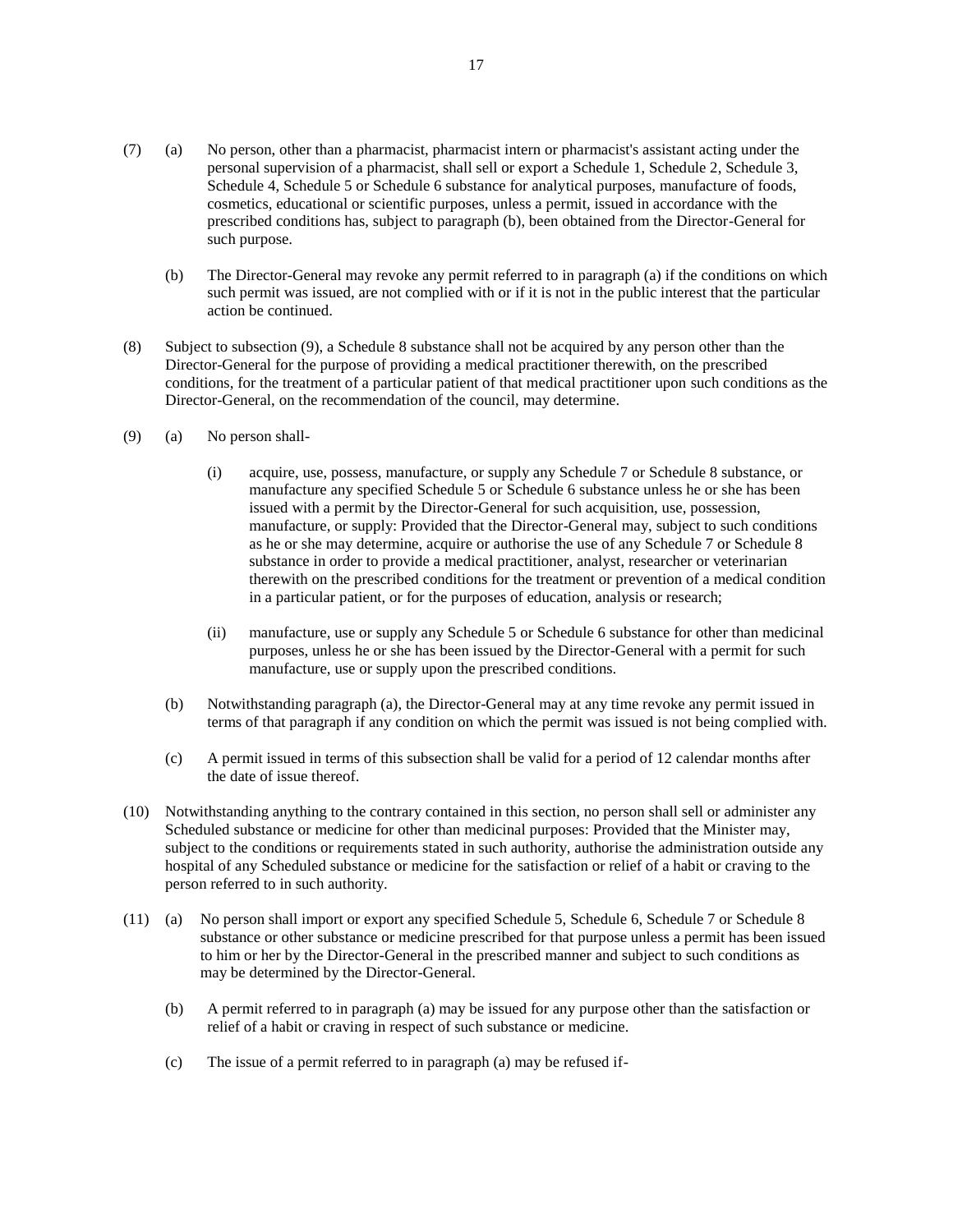- (7) (a) No person, other than a pharmacist, pharmacist intern or pharmacist's assistant acting under the personal supervision of a pharmacist, shall sell or export a Schedule 1, Schedule 2, Schedule 3, Schedule 4, Schedule 5 or Schedule 6 substance for analytical purposes, manufacture of foods, cosmetics, educational or scientific purposes, unless a permit, issued in accordance with the prescribed conditions has, subject to paragraph (b), been obtained from the Director-General for such purpose.
	- (b) The Director-General may revoke any permit referred to in paragraph (a) if the conditions on which such permit was issued, are not complied with or if it is not in the public interest that the particular action be continued.
- (8) Subject to subsection (9), a Schedule 8 substance shall not be acquired by any person other than the Director-General for the purpose of providing a medical practitioner therewith, on the prescribed conditions, for the treatment of a particular patient of that medical practitioner upon such conditions as the Director-General, on the recommendation of the council, may determine.
- (9) (a) No person shall-
	- (i) acquire, use, possess, manufacture, or supply any Schedule 7 or Schedule 8 substance, or manufacture any specified Schedule 5 or Schedule 6 substance unless he or she has been issued with a permit by the Director-General for such acquisition, use, possession, manufacture, or supply: Provided that the Director-General may, subject to such conditions as he or she may determine, acquire or authorise the use of any Schedule 7 or Schedule 8 substance in order to provide a medical practitioner, analyst, researcher or veterinarian therewith on the prescribed conditions for the treatment or prevention of a medical condition in a particular patient, or for the purposes of education, analysis or research;
	- (ii) manufacture, use or supply any Schedule 5 or Schedule 6 substance for other than medicinal purposes, unless he or she has been issued by the Director-General with a permit for such manufacture, use or supply upon the prescribed conditions.
	- (b) Notwithstanding paragraph (a), the Director-General may at any time revoke any permit issued in terms of that paragraph if any condition on which the permit was issued is not being complied with.
	- (c) A permit issued in terms of this subsection shall be valid for a period of 12 calendar months after the date of issue thereof.
- (10) Notwithstanding anything to the contrary contained in this section, no person shall sell or administer any Scheduled substance or medicine for other than medicinal purposes: Provided that the Minister may, subject to the conditions or requirements stated in such authority, authorise the administration outside any hospital of any Scheduled substance or medicine for the satisfaction or relief of a habit or craving to the person referred to in such authority.
- (11) (a) No person shall import or export any specified Schedule 5, Schedule 6, Schedule 7 or Schedule 8 substance or other substance or medicine prescribed for that purpose unless a permit has been issued to him or her by the Director-General in the prescribed manner and subject to such conditions as may be determined by the Director-General.
	- (b) A permit referred to in paragraph (a) may be issued for any purpose other than the satisfaction or relief of a habit or craving in respect of such substance or medicine.
	- (c) The issue of a permit referred to in paragraph (a) may be refused if-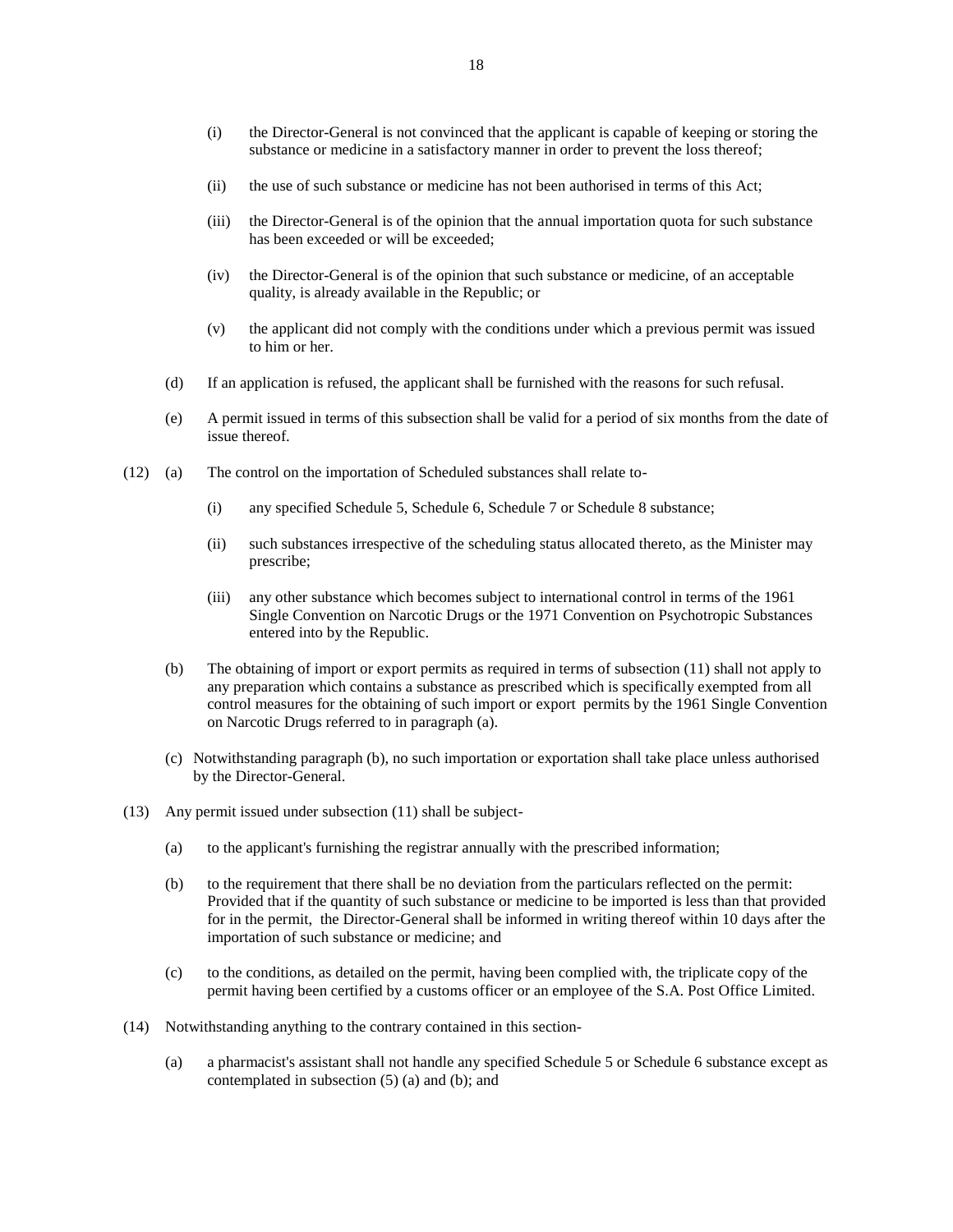- (i) the Director-General is not convinced that the applicant is capable of keeping or storing the substance or medicine in a satisfactory manner in order to prevent the loss thereof;
- (ii) the use of such substance or medicine has not been authorised in terms of this Act;
- (iii) the Director-General is of the opinion that the annual importation quota for such substance has been exceeded or will be exceeded;
- (iv) the Director-General is of the opinion that such substance or medicine, of an acceptable quality, is already available in the Republic; or
- (v) the applicant did not comply with the conditions under which a previous permit was issued to him or her.
- (d) If an application is refused, the applicant shall be furnished with the reasons for such refusal.
- (e) A permit issued in terms of this subsection shall be valid for a period of six months from the date of issue thereof.
- (12) (a) The control on the importation of Scheduled substances shall relate to-
	- (i) any specified Schedule 5, Schedule 6, Schedule 7 or Schedule 8 substance;
	- (ii) such substances irrespective of the scheduling status allocated thereto, as the Minister may prescribe;
	- (iii) any other substance which becomes subject to international control in terms of the 1961 Single Convention on Narcotic Drugs or the 1971 Convention on Psychotropic Substances entered into by the Republic.
	- (b) The obtaining of import or export permits as required in terms of subsection (11) shall not apply to any preparation which contains a substance as prescribed which is specifically exempted from all control measures for the obtaining of such import or export permits by the 1961 Single Convention on Narcotic Drugs referred to in paragraph (a).
	- (c) Notwithstanding paragraph (b), no such importation or exportation shall take place unless authorised by the Director-General.
- (13) Any permit issued under subsection (11) shall be subject-
	- (a) to the applicant's furnishing the registrar annually with the prescribed information;
	- (b) to the requirement that there shall be no deviation from the particulars reflected on the permit: Provided that if the quantity of such substance or medicine to be imported is less than that provided for in the permit, the Director-General shall be informed in writing thereof within 10 days after the importation of such substance or medicine; and
	- (c) to the conditions, as detailed on the permit, having been complied with, the triplicate copy of the permit having been certified by a customs officer or an employee of the S.A. Post Office Limited.
- (14) Notwithstanding anything to the contrary contained in this section-
	- (a) a pharmacist's assistant shall not handle any specified Schedule 5 or Schedule 6 substance except as contemplated in subsection (5) (a) and (b); and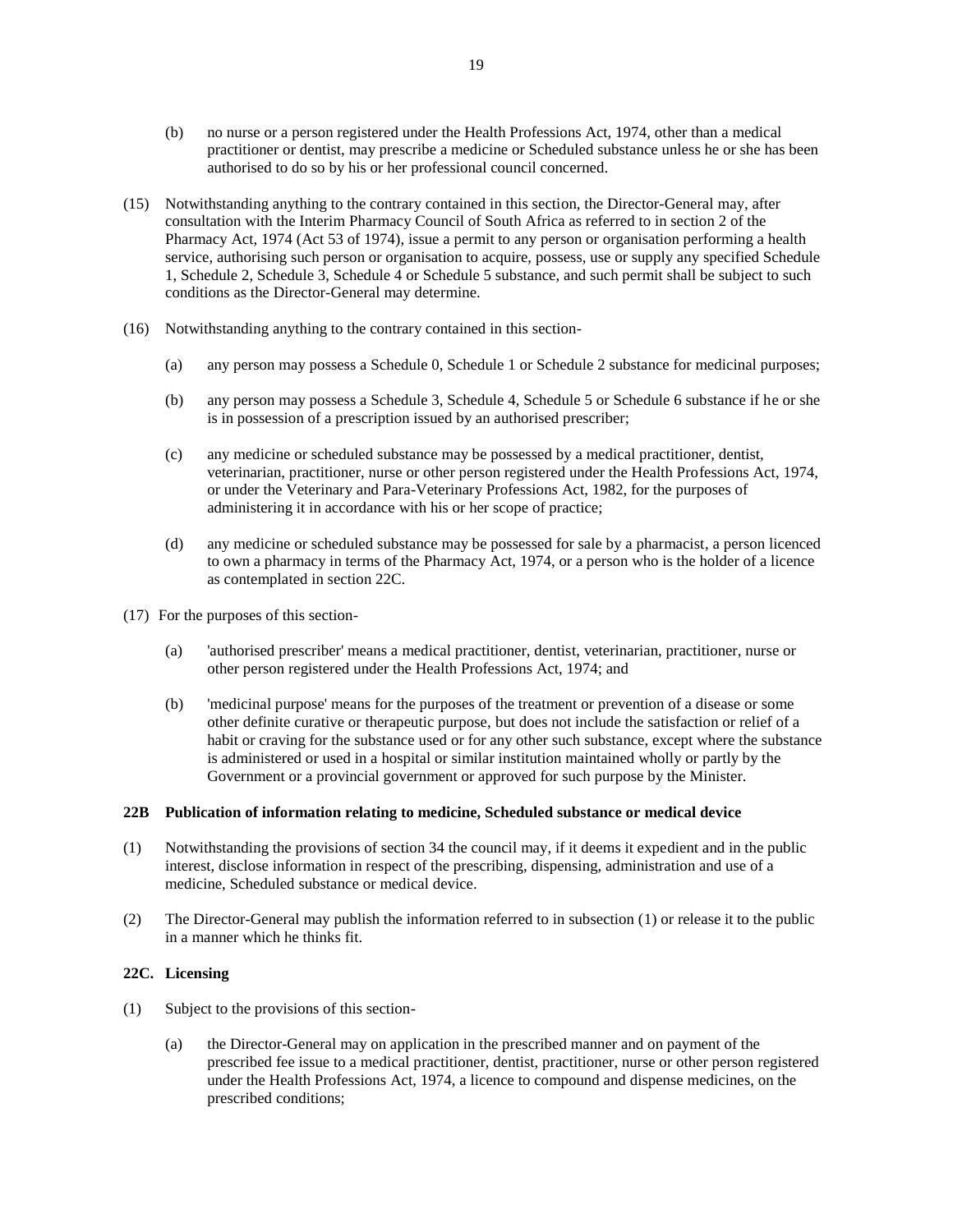- (b) no nurse or a person registered under the Health Professions Act, 1974, other than a medical practitioner or dentist, may prescribe a medicine or Scheduled substance unless he or she has been authorised to do so by his or her professional council concerned.
- (15) Notwithstanding anything to the contrary contained in this section, the Director-General may, after consultation with the Interim Pharmacy Council of South Africa as referred to in section 2 of the Pharmacy Act, 1974 (Act 53 of 1974), issue a permit to any person or organisation performing a health service, authorising such person or organisation to acquire, possess, use or supply any specified Schedule 1, Schedule 2, Schedule 3, Schedule 4 or Schedule 5 substance, and such permit shall be subject to such conditions as the Director-General may determine.
- (16) Notwithstanding anything to the contrary contained in this section-
	- (a) any person may possess a Schedule 0, Schedule 1 or Schedule 2 substance for medicinal purposes;
	- (b) any person may possess a Schedule 3, Schedule 4, Schedule 5 or Schedule 6 substance if he or she is in possession of a prescription issued by an authorised prescriber;
	- (c) any medicine or scheduled substance may be possessed by a medical practitioner, dentist, veterinarian, practitioner, nurse or other person registered under the Health Professions Act, 1974, or under the Veterinary and Para-Veterinary Professions Act, 1982, for the purposes of administering it in accordance with his or her scope of practice;
	- (d) any medicine or scheduled substance may be possessed for sale by a pharmacist, a person licenced to own a pharmacy in terms of the Pharmacy Act, 1974, or a person who is the holder of a licence as contemplated in section 22C.
- (17) For the purposes of this section-
	- (a) 'authorised prescriber' means a medical practitioner, dentist, veterinarian, practitioner, nurse or other person registered under the Health Professions Act, 1974; and
	- (b) 'medicinal purpose' means for the purposes of the treatment or prevention of a disease or some other definite curative or therapeutic purpose, but does not include the satisfaction or relief of a habit or craving for the substance used or for any other such substance, except where the substance is administered or used in a hospital or similar institution maintained wholly or partly by the Government or a provincial government or approved for such purpose by the Minister.

### **22B Publication of information relating to medicine, Scheduled substance or medical device**

- (1) Notwithstanding the provisions of section 34 the council may, if it deems it expedient and in the public interest, disclose information in respect of the prescribing, dispensing, administration and use of a medicine, Scheduled substance or medical device.
- (2) The Director-General may publish the information referred to in subsection (1) or release it to the public in a manner which he thinks fit.

### **22C. Licensing**

- (1) Subject to the provisions of this section-
	- (a) the Director-General may on application in the prescribed manner and on payment of the prescribed fee issue to a medical practitioner, dentist, practitioner, nurse or other person registered under the Health Professions Act, 1974, a licence to compound and dispense medicines, on the prescribed conditions;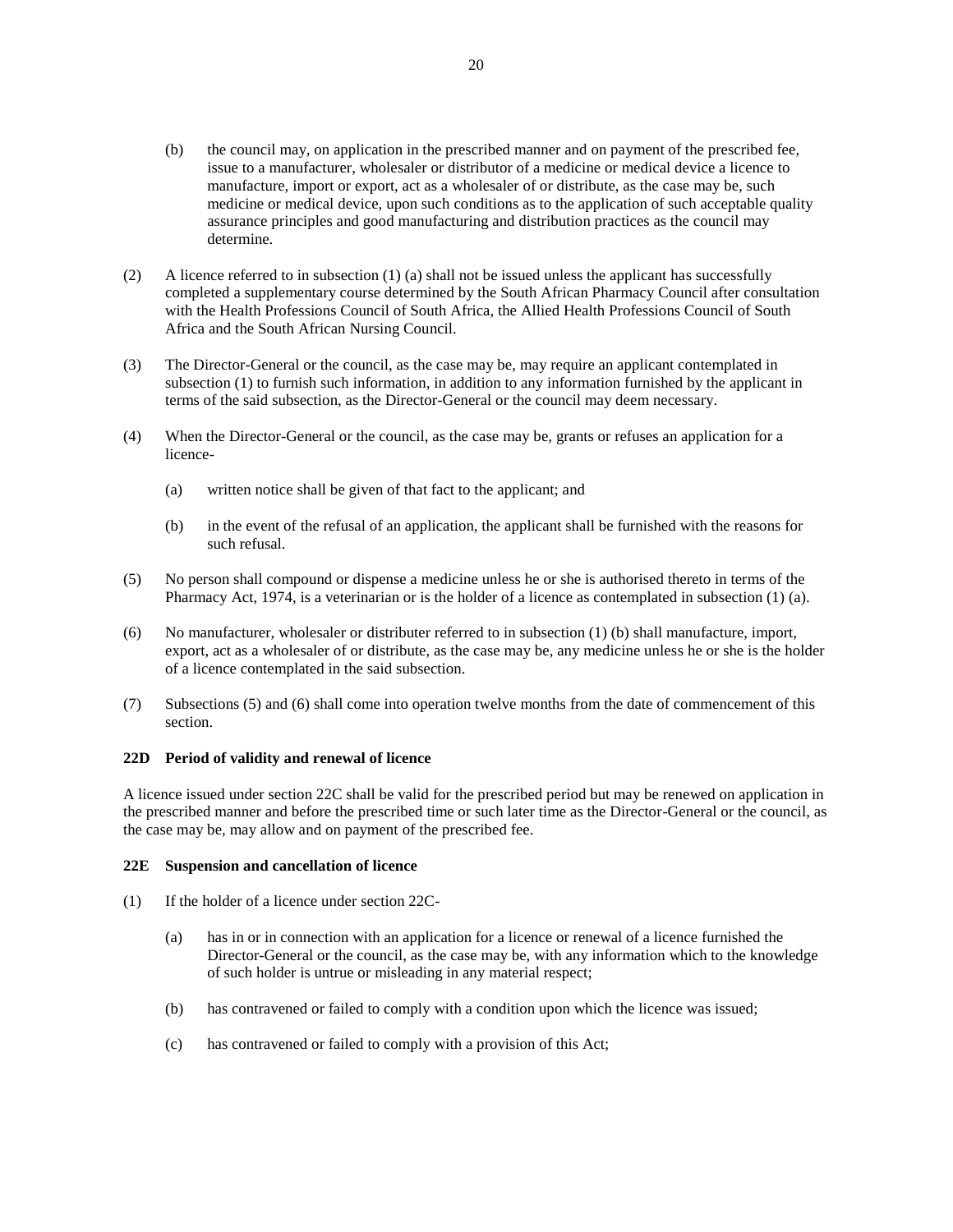- (b) the council may, on application in the prescribed manner and on payment of the prescribed fee, issue to a manufacturer, wholesaler or distributor of a medicine or medical device a licence to manufacture, import or export, act as a wholesaler of or distribute, as the case may be, such medicine or medical device, upon such conditions as to the application of such acceptable quality assurance principles and good manufacturing and distribution practices as the council may determine.
- (2) A licence referred to in subsection (1) (a) shall not be issued unless the applicant has successfully completed a supplementary course determined by the South African Pharmacy Council after consultation with the Health Professions Council of South Africa, the Allied Health Professions Council of South Africa and the South African Nursing Council.
- (3) The Director-General or the council, as the case may be, may require an applicant contemplated in subsection (1) to furnish such information, in addition to any information furnished by the applicant in terms of the said subsection, as the Director-General or the council may deem necessary.
- (4) When the Director-General or the council, as the case may be, grants or refuses an application for a licence-
	- (a) written notice shall be given of that fact to the applicant; and
	- (b) in the event of the refusal of an application, the applicant shall be furnished with the reasons for such refusal.
- (5) No person shall compound or dispense a medicine unless he or she is authorised thereto in terms of the Pharmacy Act, 1974, is a veterinarian or is the holder of a licence as contemplated in subsection (1) (a).
- (6) No manufacturer, wholesaler or distributer referred to in subsection (1) (b) shall manufacture, import, export, act as a wholesaler of or distribute, as the case may be, any medicine unless he or she is the holder of a licence contemplated in the said subsection.
- (7) Subsections (5) and (6) shall come into operation twelve months from the date of commencement of this section.

#### **22D Period of validity and renewal of licence**

A licence issued under section 22C shall be valid for the prescribed period but may be renewed on application in the prescribed manner and before the prescribed time or such later time as the Director-General or the council, as the case may be, may allow and on payment of the prescribed fee.

### **22E Suspension and cancellation of licence**

- (1) If the holder of a licence under section 22C-
	- (a) has in or in connection with an application for a licence or renewal of a licence furnished the Director-General or the council, as the case may be, with any information which to the knowledge of such holder is untrue or misleading in any material respect;
	- (b) has contravened or failed to comply with a condition upon which the licence was issued;
	- (c) has contravened or failed to comply with a provision of this Act;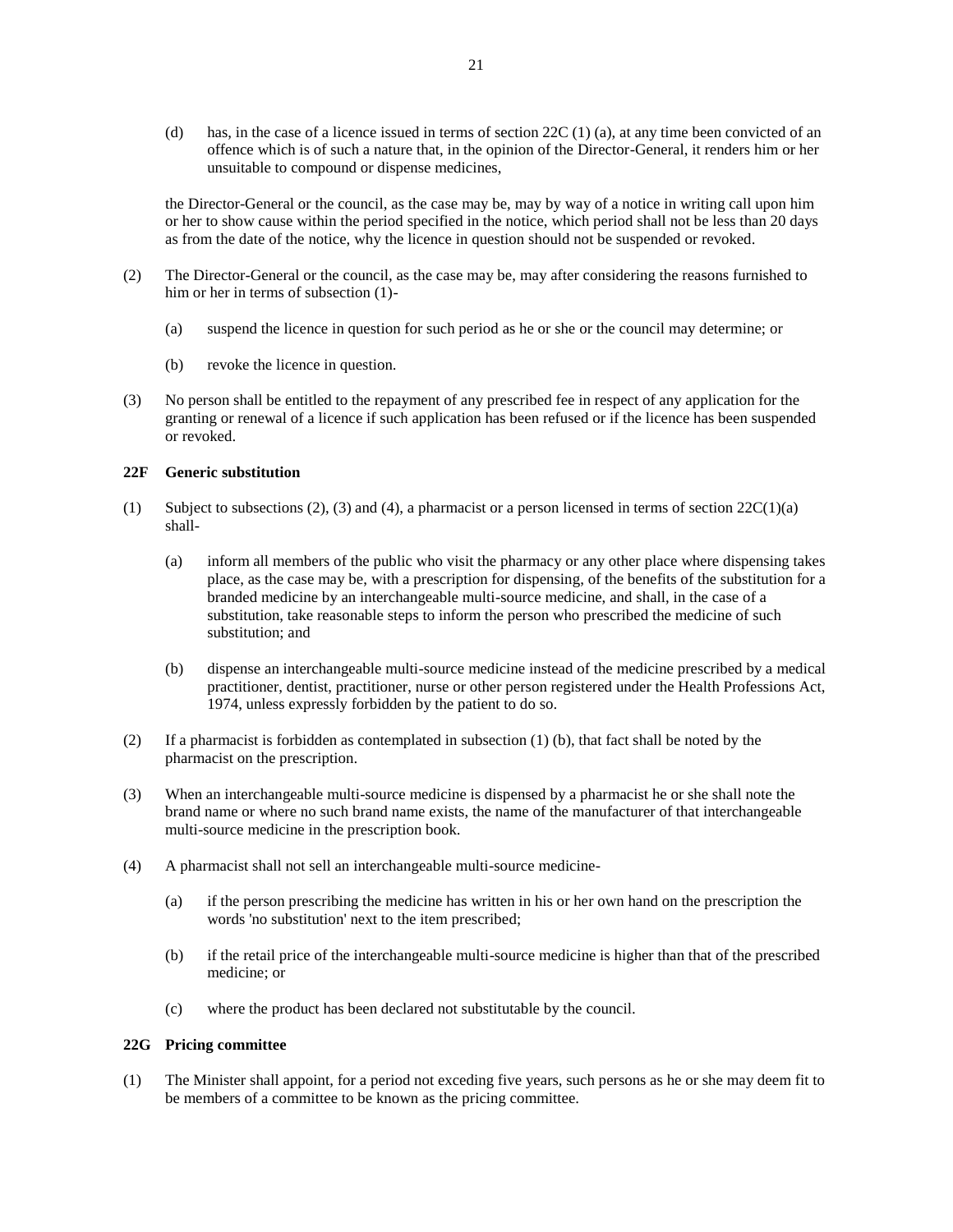(d) has, in the case of a licence issued in terms of section  $22C(1)$  (a), at any time been convicted of an offence which is of such a nature that, in the opinion of the Director-General, it renders him or her unsuitable to compound or dispense medicines,

the Director-General or the council, as the case may be, may by way of a notice in writing call upon him or her to show cause within the period specified in the notice, which period shall not be less than 20 days as from the date of the notice, why the licence in question should not be suspended or revoked.

- (2) The Director-General or the council, as the case may be, may after considering the reasons furnished to him or her in terms of subsection (1)-
	- (a) suspend the licence in question for such period as he or she or the council may determine; or
	- (b) revoke the licence in question.
- (3) No person shall be entitled to the repayment of any prescribed fee in respect of any application for the granting or renewal of a licence if such application has been refused or if the licence has been suspended or revoked.

## **22F Generic substitution**

- (1) Subject to subsections (2), (3) and (4), a pharmacist or a person licensed in terms of section  $22C(1)(a)$ shall-
	- (a) inform all members of the public who visit the pharmacy or any other place where dispensing takes place, as the case may be, with a prescription for dispensing, of the benefits of the substitution for a branded medicine by an interchangeable multi-source medicine, and shall, in the case of a substitution, take reasonable steps to inform the person who prescribed the medicine of such substitution; and
	- (b) dispense an interchangeable multi-source medicine instead of the medicine prescribed by a medical practitioner, dentist, practitioner, nurse or other person registered under the Health Professions Act, 1974, unless expressly forbidden by the patient to do so.
- (2) If a pharmacist is forbidden as contemplated in subsection (1) (b), that fact shall be noted by the pharmacist on the prescription.
- (3) When an interchangeable multi-source medicine is dispensed by a pharmacist he or she shall note the brand name or where no such brand name exists, the name of the manufacturer of that interchangeable multi-source medicine in the prescription book.
- (4) A pharmacist shall not sell an interchangeable multi-source medicine-
	- (a) if the person prescribing the medicine has written in his or her own hand on the prescription the words 'no substitution' next to the item prescribed;
	- (b) if the retail price of the interchangeable multi-source medicine is higher than that of the prescribed medicine; or
	- (c) where the product has been declared not substitutable by the council.

### **22G Pricing committee**

(1) The Minister shall appoint, for a period not exceding five years, such persons as he or she may deem fit to be members of a committee to be known as the pricing committee.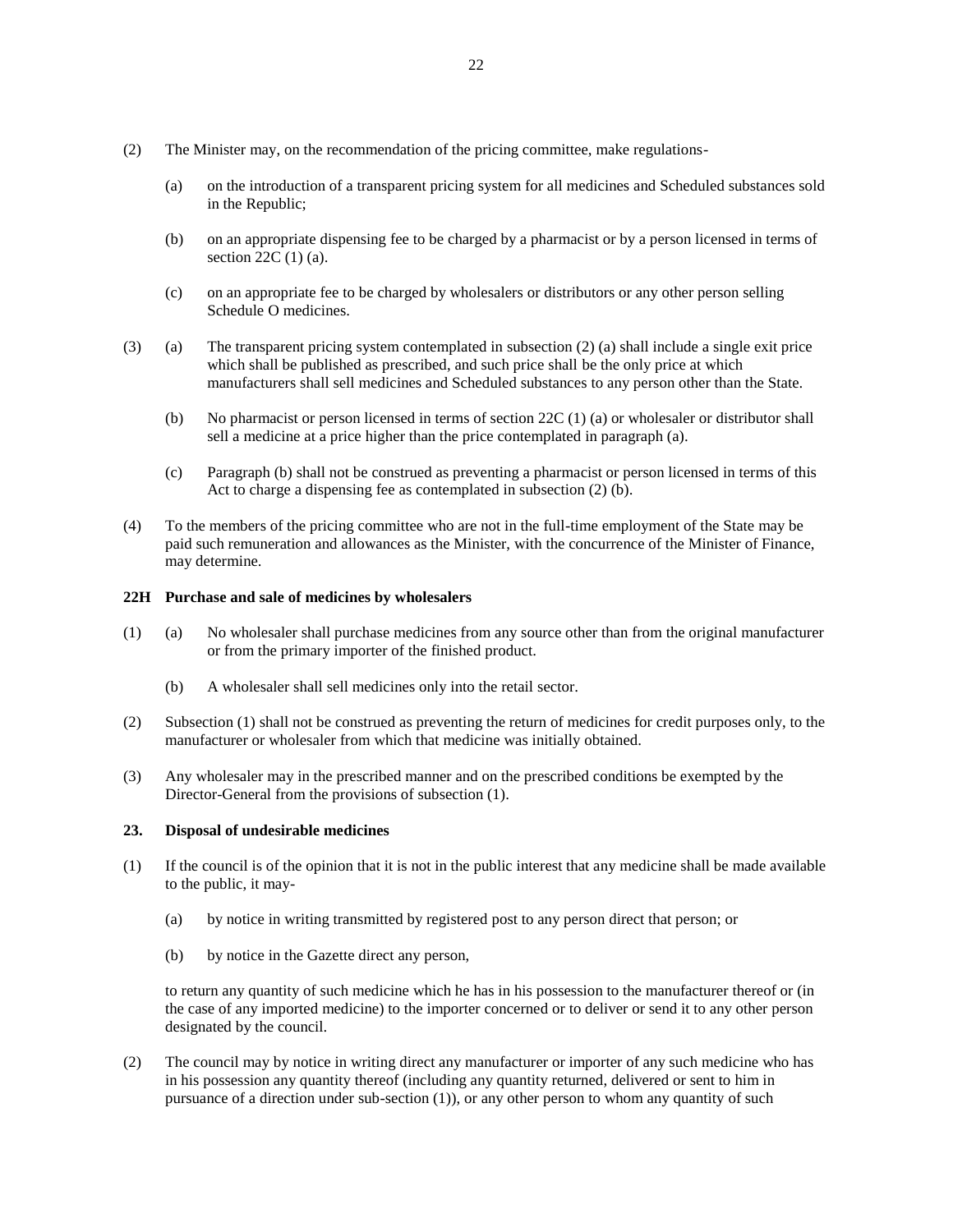- (2) The Minister may, on the recommendation of the pricing committee, make regulations-
	- (a) on the introduction of a transparent pricing system for all medicines and Scheduled substances sold in the Republic;
	- (b) on an appropriate dispensing fee to be charged by a pharmacist or by a person licensed in terms of section 22C (1) (a).
	- (c) on an appropriate fee to be charged by wholesalers or distributors or any other person selling Schedule O medicines.
- (3) (a) The transparent pricing system contemplated in subsection (2) (a) shall include a single exit price which shall be published as prescribed, and such price shall be the only price at which manufacturers shall sell medicines and Scheduled substances to any person other than the State.
	- (b) No pharmacist or person licensed in terms of section 22C (1) (a) or wholesaler or distributor shall sell a medicine at a price higher than the price contemplated in paragraph (a).
	- (c) Paragraph (b) shall not be construed as preventing a pharmacist or person licensed in terms of this Act to charge a dispensing fee as contemplated in subsection (2) (b).
- (4) To the members of the pricing committee who are not in the full-time employment of the State may be paid such remuneration and allowances as the Minister, with the concurrence of the Minister of Finance, may determine.

### **22H Purchase and sale of medicines by wholesalers**

- (1) (a) No wholesaler shall purchase medicines from any source other than from the original manufacturer or from the primary importer of the finished product.
	- (b) A wholesaler shall sell medicines only into the retail sector.
- (2) Subsection (1) shall not be construed as preventing the return of medicines for credit purposes only, to the manufacturer or wholesaler from which that medicine was initially obtained.
- (3) Any wholesaler may in the prescribed manner and on the prescribed conditions be exempted by the Director-General from the provisions of subsection (1).

### **23. Disposal of undesirable medicines**

- (1) If the council is of the opinion that it is not in the public interest that any medicine shall be made available to the public, it may-
	- (a) by notice in writing transmitted by registered post to any person direct that person; or
	- (b) by notice in the Gazette direct any person,

to return any quantity of such medicine which he has in his possession to the manufacturer thereof or (in the case of any imported medicine) to the importer concerned or to deliver or send it to any other person designated by the council.

(2) The council may by notice in writing direct any manufacturer or importer of any such medicine who has in his possession any quantity thereof (including any quantity returned, delivered or sent to him in pursuance of a direction under sub-section (1)), or any other person to whom any quantity of such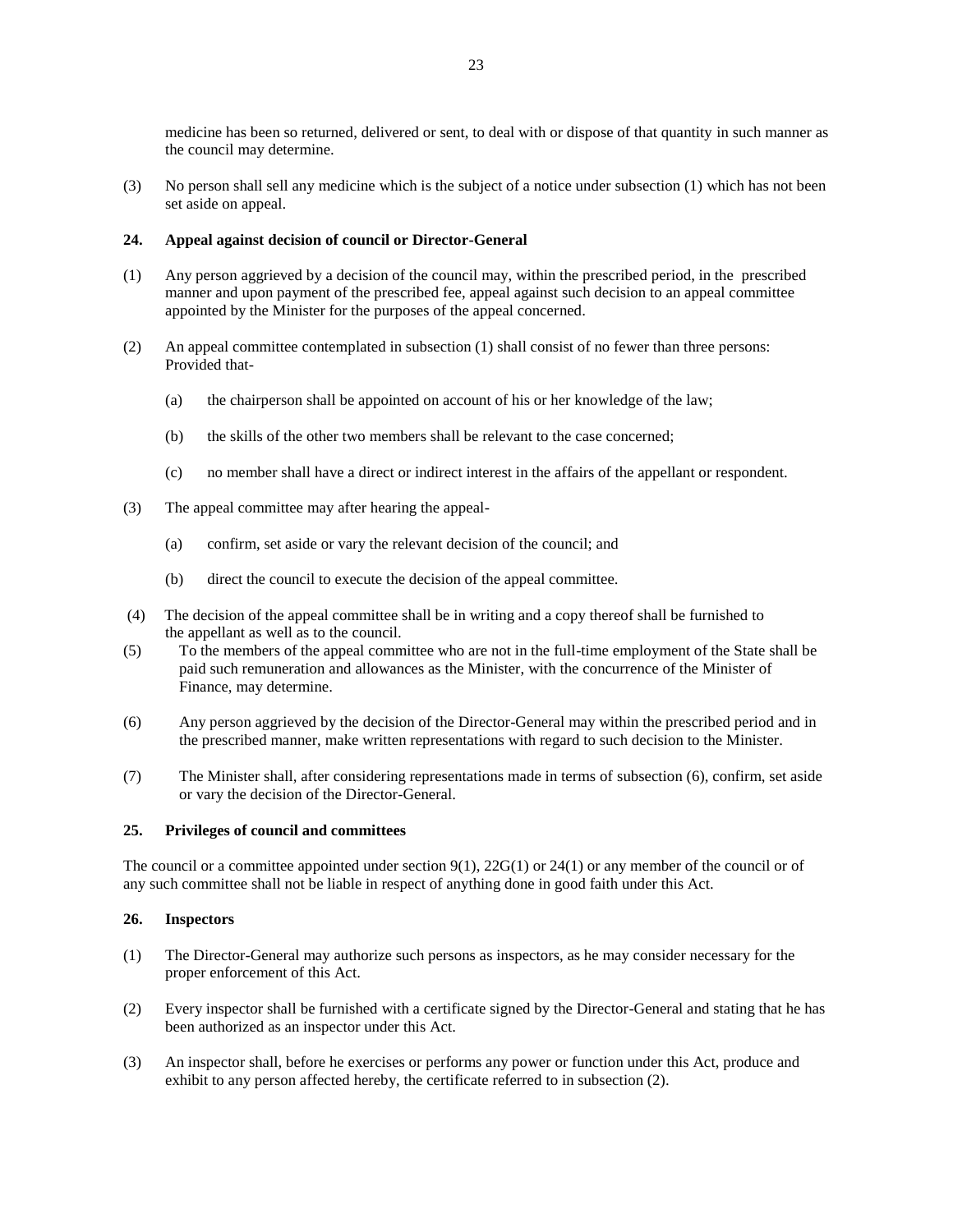medicine has been so returned, delivered or sent, to deal with or dispose of that quantity in such manner as the council may determine.

(3) No person shall sell any medicine which is the subject of a notice under subsection (1) which has not been set aside on appeal.

# **24. Appeal against decision of council or Director-General**

- (1) Any person aggrieved by a decision of the council may, within the prescribed period, in the prescribed manner and upon payment of the prescribed fee, appeal against such decision to an appeal committee appointed by the Minister for the purposes of the appeal concerned.
- (2) An appeal committee contemplated in subsection (1) shall consist of no fewer than three persons: Provided that-
	- (a) the chairperson shall be appointed on account of his or her knowledge of the law;
	- (b) the skills of the other two members shall be relevant to the case concerned;
	- (c) no member shall have a direct or indirect interest in the affairs of the appellant or respondent.
- (3) The appeal committee may after hearing the appeal-
	- (a) confirm, set aside or vary the relevant decision of the council; and
	- (b) direct the council to execute the decision of the appeal committee.
- (4) The decision of the appeal committee shall be in writing and a copy thereof shall be furnished to the appellant as well as to the council.
- (5) To the members of the appeal committee who are not in the full-time employment of the State shall be paid such remuneration and allowances as the Minister, with the concurrence of the Minister of Finance, may determine.
- (6) Any person aggrieved by the decision of the Director-General may within the prescribed period and in the prescribed manner, make written representations with regard to such decision to the Minister.
- (7) The Minister shall, after considering representations made in terms of subsection (6), confirm, set aside or vary the decision of the Director-General.

#### **25. Privileges of council and committees**

The council or a committee appointed under section  $9(1)$ ,  $22G(1)$  or  $24(1)$  or any member of the council or of any such committee shall not be liable in respect of anything done in good faith under this Act.

### **26. Inspectors**

- (1) The Director-General may authorize such persons as inspectors, as he may consider necessary for the proper enforcement of this Act.
- (2) Every inspector shall be furnished with a certificate signed by the Director-General and stating that he has been authorized as an inspector under this Act.
- (3) An inspector shall, before he exercises or performs any power or function under this Act, produce and exhibit to any person affected hereby, the certificate referred to in subsection (2).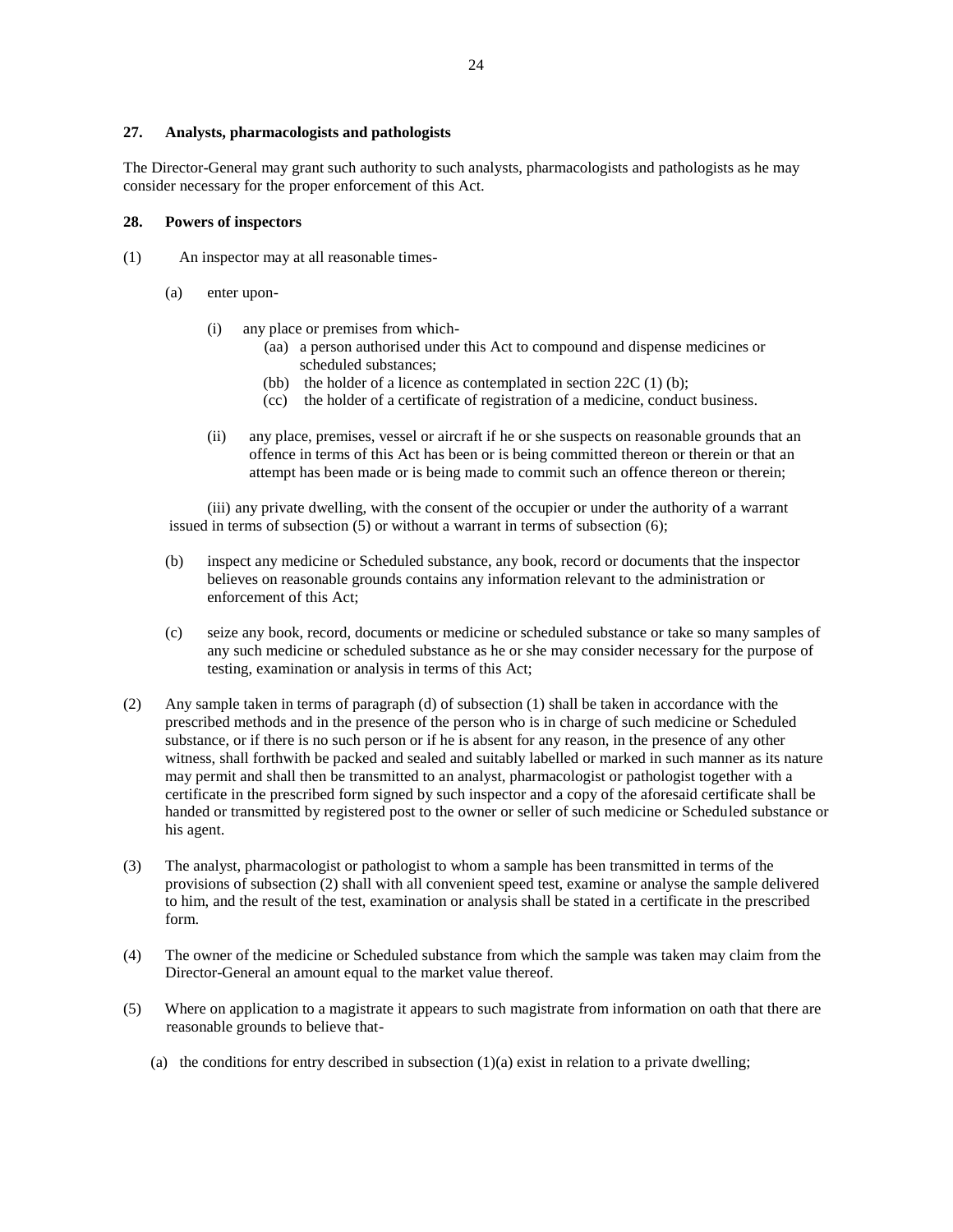### **27. Analysts, pharmacologists and pathologists**

The Director-General may grant such authority to such analysts, pharmacologists and pathologists as he may consider necessary for the proper enforcement of this Act.

## **28. Powers of inspectors**

- (1) An inspector may at all reasonable times-
	- (a) enter upon-
		- (i) any place or premises from which-
			- (aa) a person authorised under this Act to compound and dispense medicines or scheduled substances;
			- (bb) the holder of a licence as contemplated in section  $22C(1)$  (b);
			- (cc) the holder of a certificate of registration of a medicine, conduct business.
		- (ii) any place, premises, vessel or aircraft if he or she suspects on reasonable grounds that an offence in terms of this Act has been or is being committed thereon or therein or that an attempt has been made or is being made to commit such an offence thereon or therein;

(iii) any private dwelling, with the consent of the occupier or under the authority of a warrant issued in terms of subsection (5) or without a warrant in terms of subsection (6);

- (b) inspect any medicine or Scheduled substance, any book, record or documents that the inspector believes on reasonable grounds contains any information relevant to the administration or enforcement of this Act;
- (c) seize any book, record, documents or medicine or scheduled substance or take so many samples of any such medicine or scheduled substance as he or she may consider necessary for the purpose of testing, examination or analysis in terms of this Act;
- (2) Any sample taken in terms of paragraph (d) of subsection (1) shall be taken in accordance with the prescribed methods and in the presence of the person who is in charge of such medicine or Scheduled substance, or if there is no such person or if he is absent for any reason, in the presence of any other witness, shall forthwith be packed and sealed and suitably labelled or marked in such manner as its nature may permit and shall then be transmitted to an analyst, pharmacologist or pathologist together with a certificate in the prescribed form signed by such inspector and a copy of the aforesaid certificate shall be handed or transmitted by registered post to the owner or seller of such medicine or Scheduled substance or his agent.
- (3) The analyst, pharmacologist or pathologist to whom a sample has been transmitted in terms of the provisions of subsection (2) shall with all convenient speed test, examine or analyse the sample delivered to him, and the result of the test, examination or analysis shall be stated in a certificate in the prescribed form.
- (4) The owner of the medicine or Scheduled substance from which the sample was taken may claim from the Director-General an amount equal to the market value thereof.
- (5) Where on application to a magistrate it appears to such magistrate from information on oath that there are reasonable grounds to believe that-
	- (a) the conditions for entry described in subsection  $(1)(a)$  exist in relation to a private dwelling;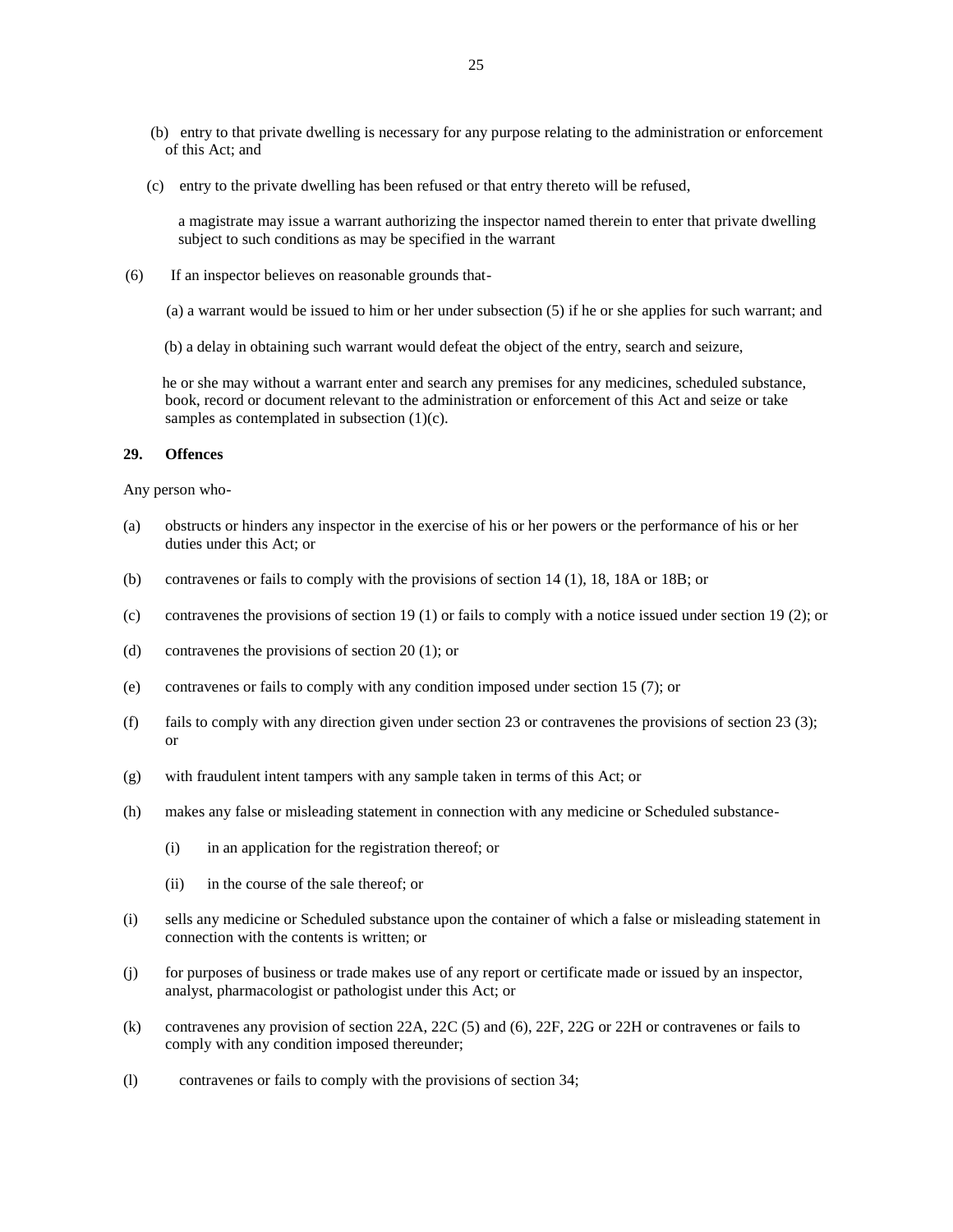- (b) entry to that private dwelling is necessary for any purpose relating to the administration or enforcement of this Act; and
- (c) entry to the private dwelling has been refused or that entry thereto will be refused,

a magistrate may issue a warrant authorizing the inspector named therein to enter that private dwelling subject to such conditions as may be specified in the warrant

- (6) If an inspector believes on reasonable grounds that-
	- (a) a warrant would be issued to him or her under subsection (5) if he or she applies for such warrant; and
	- (b) a delay in obtaining such warrant would defeat the object of the entry, search and seizure,

 he or she may without a warrant enter and search any premises for any medicines, scheduled substance, book, record or document relevant to the administration or enforcement of this Act and seize or take samples as contemplated in subsection  $(1)(c)$ .

### **29. Offences**

Any person who-

- (a) obstructs or hinders any inspector in the exercise of his or her powers or the performance of his or her duties under this Act; or
- (b) contravenes or fails to comply with the provisions of section 14 (1), 18, 18A or 18B; or
- (c) contravenes the provisions of section 19 (1) or fails to comply with a notice issued under section 19 (2); or
- (d) contravenes the provisions of section 20 (1); or
- (e) contravenes or fails to comply with any condition imposed under section 15 (7); or
- (f) fails to comply with any direction given under section 23 or contravenes the provisions of section 23 (3); or
- (g) with fraudulent intent tampers with any sample taken in terms of this Act; or
- (h) makes any false or misleading statement in connection with any medicine or Scheduled substance-
	- (i) in an application for the registration thereof; or
	- (ii) in the course of the sale thereof; or
- (i) sells any medicine or Scheduled substance upon the container of which a false or misleading statement in connection with the contents is written; or
- (j) for purposes of business or trade makes use of any report or certificate made or issued by an inspector, analyst, pharmacologist or pathologist under this Act; or
- (k) contravenes any provision of section 22A, 22C (5) and (6), 22F, 22G or 22H or contravenes or fails to comply with any condition imposed thereunder;
- (l) contravenes or fails to comply with the provisions of section 34;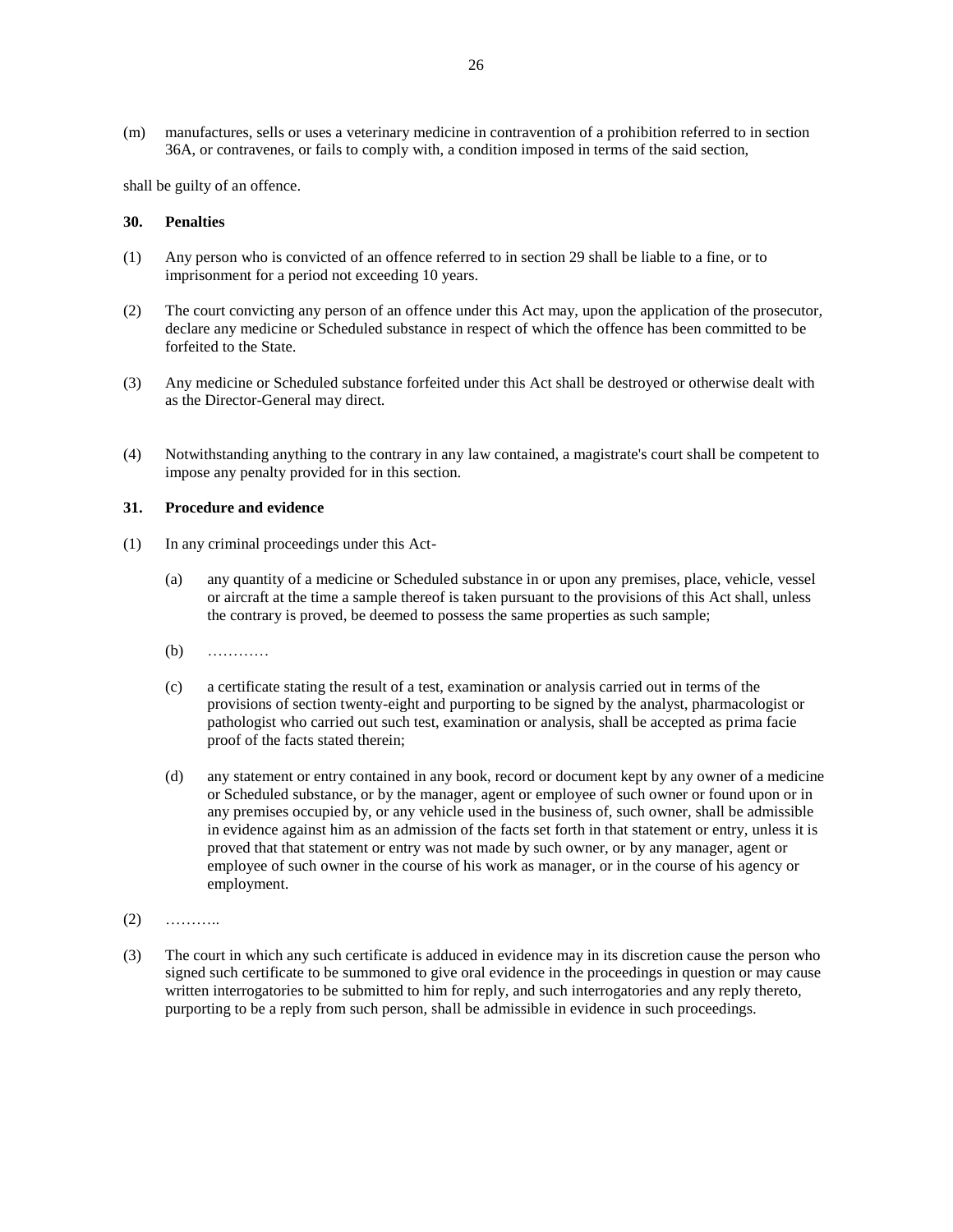(m) manufactures, sells or uses a veterinary medicine in contravention of a prohibition referred to in section 36A, or contravenes, or fails to comply with, a condition imposed in terms of the said section,

shall be guilty of an offence.

## **30. Penalties**

- (1) Any person who is convicted of an offence referred to in section 29 shall be liable to a fine, or to imprisonment for a period not exceeding 10 years.
- (2) The court convicting any person of an offence under this Act may, upon the application of the prosecutor, declare any medicine or Scheduled substance in respect of which the offence has been committed to be forfeited to the State.
- (3) Any medicine or Scheduled substance forfeited under this Act shall be destroyed or otherwise dealt with as the Director-General may direct.
- (4) Notwithstanding anything to the contrary in any law contained, a magistrate's court shall be competent to impose any penalty provided for in this section.

#### **31. Procedure and evidence**

- (1) In any criminal proceedings under this Act-
	- (a) any quantity of a medicine or Scheduled substance in or upon any premises, place, vehicle, vessel or aircraft at the time a sample thereof is taken pursuant to the provisions of this Act shall, unless the contrary is proved, be deemed to possess the same properties as such sample;
	- (b) …………
	- (c) a certificate stating the result of a test, examination or analysis carried out in terms of the provisions of section twenty-eight and purporting to be signed by the analyst, pharmacologist or pathologist who carried out such test, examination or analysis, shall be accepted as prima facie proof of the facts stated therein;
	- (d) any statement or entry contained in any book, record or document kept by any owner of a medicine or Scheduled substance, or by the manager, agent or employee of such owner or found upon or in any premises occupied by, or any vehicle used in the business of, such owner, shall be admissible in evidence against him as an admission of the facts set forth in that statement or entry, unless it is proved that that statement or entry was not made by such owner, or by any manager, agent or employee of such owner in the course of his work as manager, or in the course of his agency or employment.
- $(2)$  ………
- (3) The court in which any such certificate is adduced in evidence may in its discretion cause the person who signed such certificate to be summoned to give oral evidence in the proceedings in question or may cause written interrogatories to be submitted to him for reply, and such interrogatories and any reply thereto, purporting to be a reply from such person, shall be admissible in evidence in such proceedings.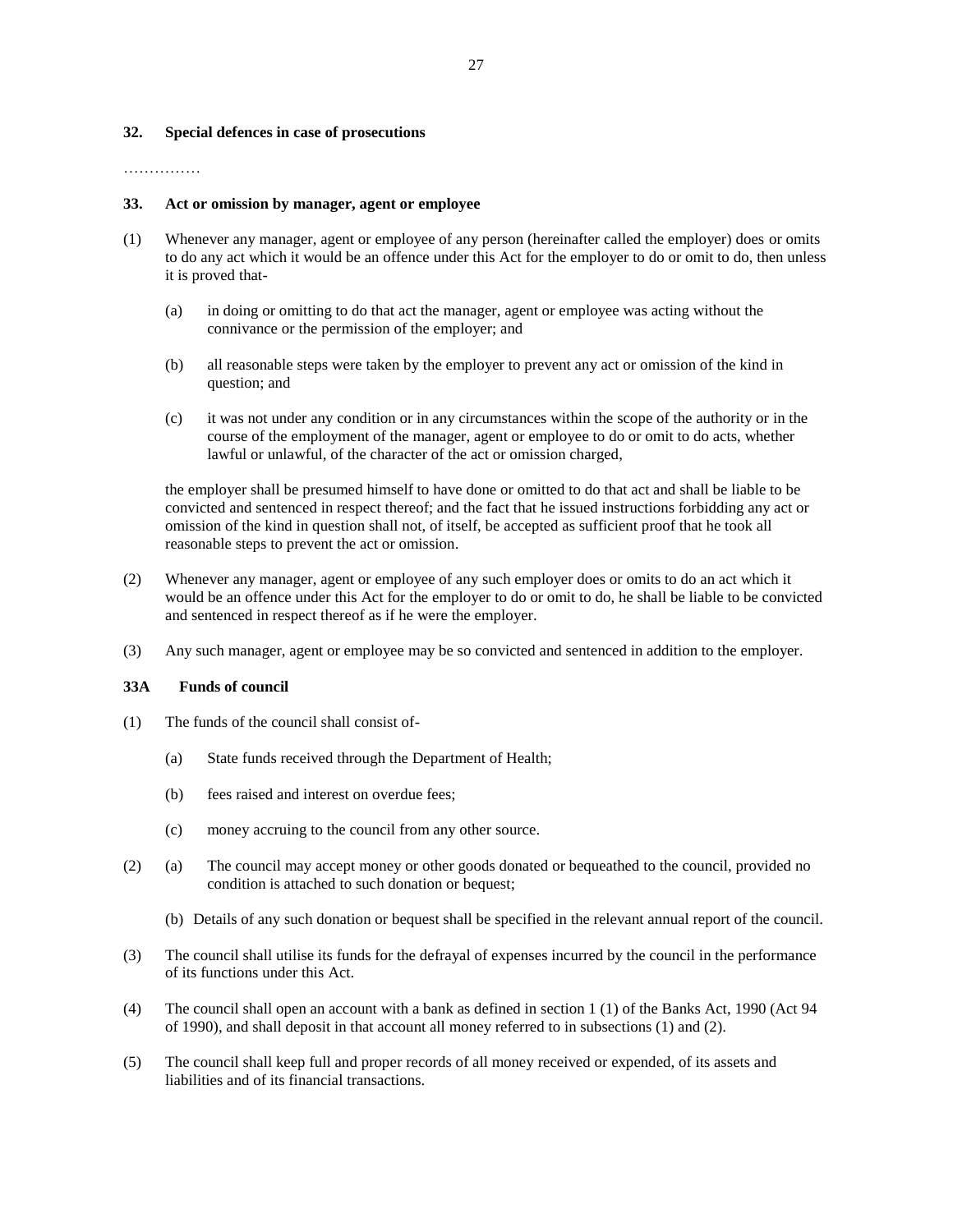### **32. Special defences in case of prosecutions**

### …………………

### **33. Act or omission by manager, agent or employee**

- (1) Whenever any manager, agent or employee of any person (hereinafter called the employer) does or omits to do any act which it would be an offence under this Act for the employer to do or omit to do, then unless it is proved that-
	- (a) in doing or omitting to do that act the manager, agent or employee was acting without the connivance or the permission of the employer; and
	- (b) all reasonable steps were taken by the employer to prevent any act or omission of the kind in question; and
	- (c) it was not under any condition or in any circumstances within the scope of the authority or in the course of the employment of the manager, agent or employee to do or omit to do acts, whether lawful or unlawful, of the character of the act or omission charged,

the employer shall be presumed himself to have done or omitted to do that act and shall be liable to be convicted and sentenced in respect thereof; and the fact that he issued instructions forbidding any act or omission of the kind in question shall not, of itself, be accepted as sufficient proof that he took all reasonable steps to prevent the act or omission.

- (2) Whenever any manager, agent or employee of any such employer does or omits to do an act which it would be an offence under this Act for the employer to do or omit to do, he shall be liable to be convicted and sentenced in respect thereof as if he were the employer.
- (3) Any such manager, agent or employee may be so convicted and sentenced in addition to the employer.

### **33A Funds of council**

- (1) The funds of the council shall consist of-
	- (a) State funds received through the Department of Health;
	- (b) fees raised and interest on overdue fees;
	- (c) money accruing to the council from any other source.
- (2) (a) The council may accept money or other goods donated or bequeathed to the council, provided no condition is attached to such donation or bequest;
	- (b) Details of any such donation or bequest shall be specified in the relevant annual report of the council.
- (3) The council shall utilise its funds for the defrayal of expenses incurred by the council in the performance of its functions under this Act.
- (4) The council shall open an account with a bank as defined in section 1 (1) of the Banks Act, 1990 (Act 94 of 1990), and shall deposit in that account all money referred to in subsections (1) and (2).
- (5) The council shall keep full and proper records of all money received or expended, of its assets and liabilities and of its financial transactions.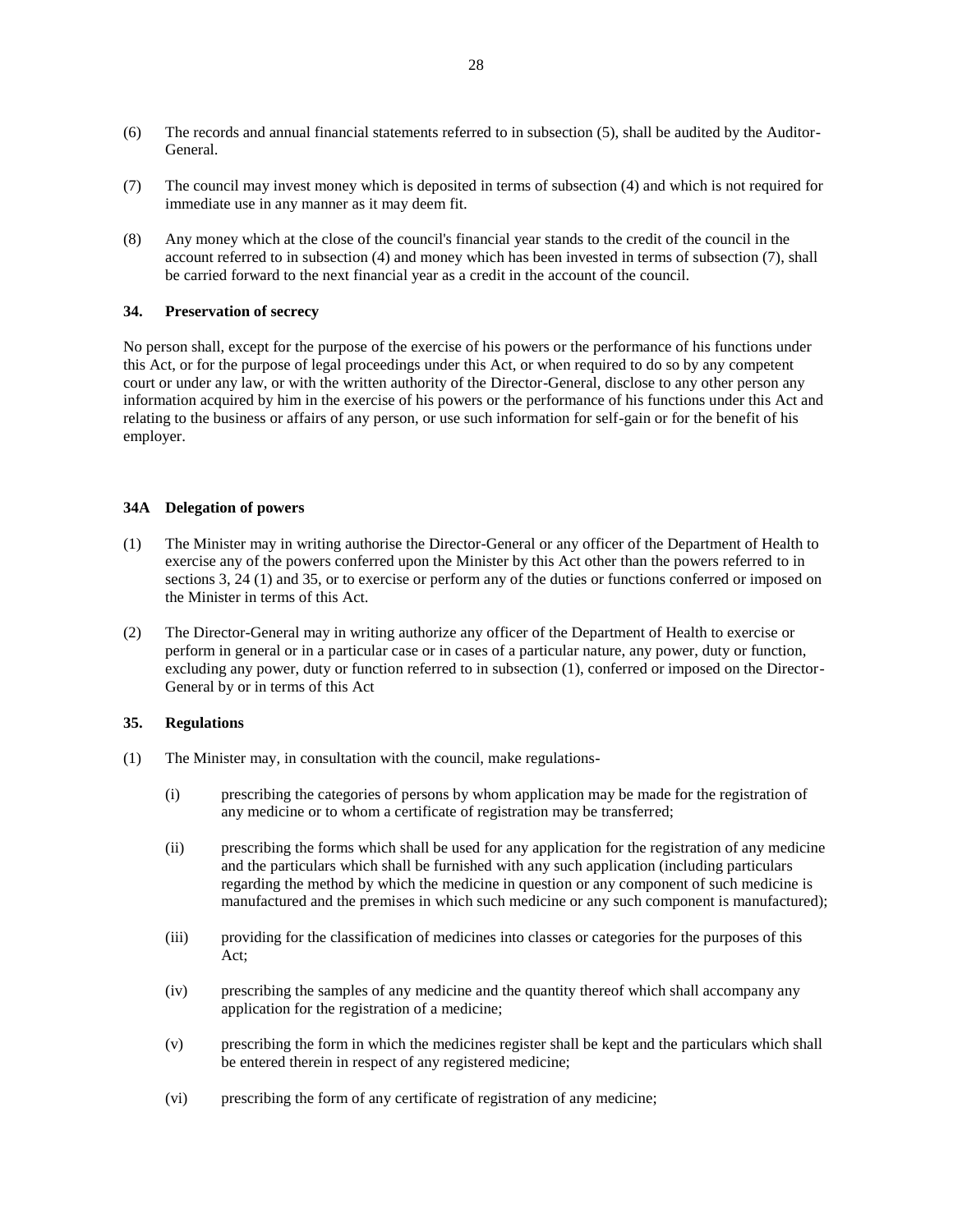- (6) The records and annual financial statements referred to in subsection (5), shall be audited by the Auditor-General.
- (7) The council may invest money which is deposited in terms of subsection (4) and which is not required for immediate use in any manner as it may deem fit.
- (8) Any money which at the close of the council's financial year stands to the credit of the council in the account referred to in subsection (4) and money which has been invested in terms of subsection (7), shall be carried forward to the next financial year as a credit in the account of the council.

# **34. Preservation of secrecy**

No person shall, except for the purpose of the exercise of his powers or the performance of his functions under this Act, or for the purpose of legal proceedings under this Act, or when required to do so by any competent court or under any law, or with the written authority of the Director-General, disclose to any other person any information acquired by him in the exercise of his powers or the performance of his functions under this Act and relating to the business or affairs of any person, or use such information for self-gain or for the benefit of his employer.

# **34A Delegation of powers**

- (1) The Minister may in writing authorise the Director-General or any officer of the Department of Health to exercise any of the powers conferred upon the Minister by this Act other than the powers referred to in sections 3, 24 (1) and 35, or to exercise or perform any of the duties or functions conferred or imposed on the Minister in terms of this Act.
- (2) The Director-General may in writing authorize any officer of the Department of Health to exercise or perform in general or in a particular case or in cases of a particular nature, any power, duty or function, excluding any power, duty or function referred to in subsection (1), conferred or imposed on the Director-General by or in terms of this Act

### **35. Regulations**

- (1) The Minister may, in consultation with the council, make regulations-
	- (i) prescribing the categories of persons by whom application may be made for the registration of any medicine or to whom a certificate of registration may be transferred;
	- (ii) prescribing the forms which shall be used for any application for the registration of any medicine and the particulars which shall be furnished with any such application (including particulars regarding the method by which the medicine in question or any component of such medicine is manufactured and the premises in which such medicine or any such component is manufactured);
	- (iii) providing for the classification of medicines into classes or categories for the purposes of this Act;
	- (iv) prescribing the samples of any medicine and the quantity thereof which shall accompany any application for the registration of a medicine;
	- (v) prescribing the form in which the medicines register shall be kept and the particulars which shall be entered therein in respect of any registered medicine;
	- (vi) prescribing the form of any certificate of registration of any medicine;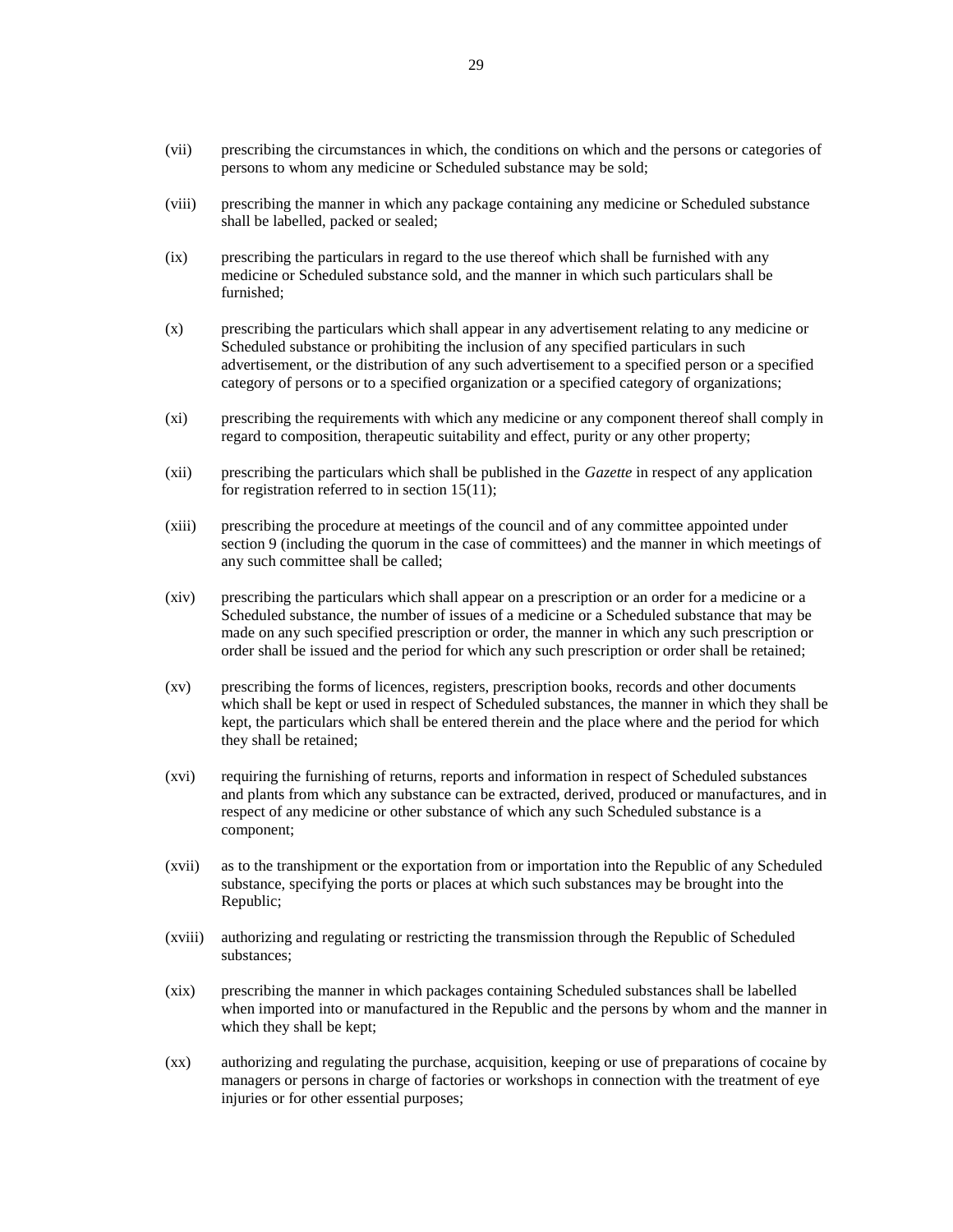- (vii) prescribing the circumstances in which, the conditions on which and the persons or categories of persons to whom any medicine or Scheduled substance may be sold;
- (viii) prescribing the manner in which any package containing any medicine or Scheduled substance shall be labelled, packed or sealed;
- (ix) prescribing the particulars in regard to the use thereof which shall be furnished with any medicine or Scheduled substance sold, and the manner in which such particulars shall be furnished;
- (x) prescribing the particulars which shall appear in any advertisement relating to any medicine or Scheduled substance or prohibiting the inclusion of any specified particulars in such advertisement, or the distribution of any such advertisement to a specified person or a specified category of persons or to a specified organization or a specified category of organizations;
- (xi) prescribing the requirements with which any medicine or any component thereof shall comply in regard to composition, therapeutic suitability and effect, purity or any other property;
- (xii) prescribing the particulars which shall be published in the *Gazette* in respect of any application for registration referred to in section 15(11);
- (xiii) prescribing the procedure at meetings of the council and of any committee appointed under section 9 (including the quorum in the case of committees) and the manner in which meetings of any such committee shall be called;
- (xiv) prescribing the particulars which shall appear on a prescription or an order for a medicine or a Scheduled substance, the number of issues of a medicine or a Scheduled substance that may be made on any such specified prescription or order, the manner in which any such prescription or order shall be issued and the period for which any such prescription or order shall be retained;
- (xv) prescribing the forms of licences, registers, prescription books, records and other documents which shall be kept or used in respect of Scheduled substances, the manner in which they shall be kept, the particulars which shall be entered therein and the place where and the period for which they shall be retained;
- (xvi) requiring the furnishing of returns, reports and information in respect of Scheduled substances and plants from which any substance can be extracted, derived, produced or manufactures, and in respect of any medicine or other substance of which any such Scheduled substance is a component;
- (xvii) as to the transhipment or the exportation from or importation into the Republic of any Scheduled substance, specifying the ports or places at which such substances may be brought into the Republic;
- (xviii) authorizing and regulating or restricting the transmission through the Republic of Scheduled substances;
- (xix) prescribing the manner in which packages containing Scheduled substances shall be labelled when imported into or manufactured in the Republic and the persons by whom and the manner in which they shall be kept;
- (xx) authorizing and regulating the purchase, acquisition, keeping or use of preparations of cocaine by managers or persons in charge of factories or workshops in connection with the treatment of eye injuries or for other essential purposes;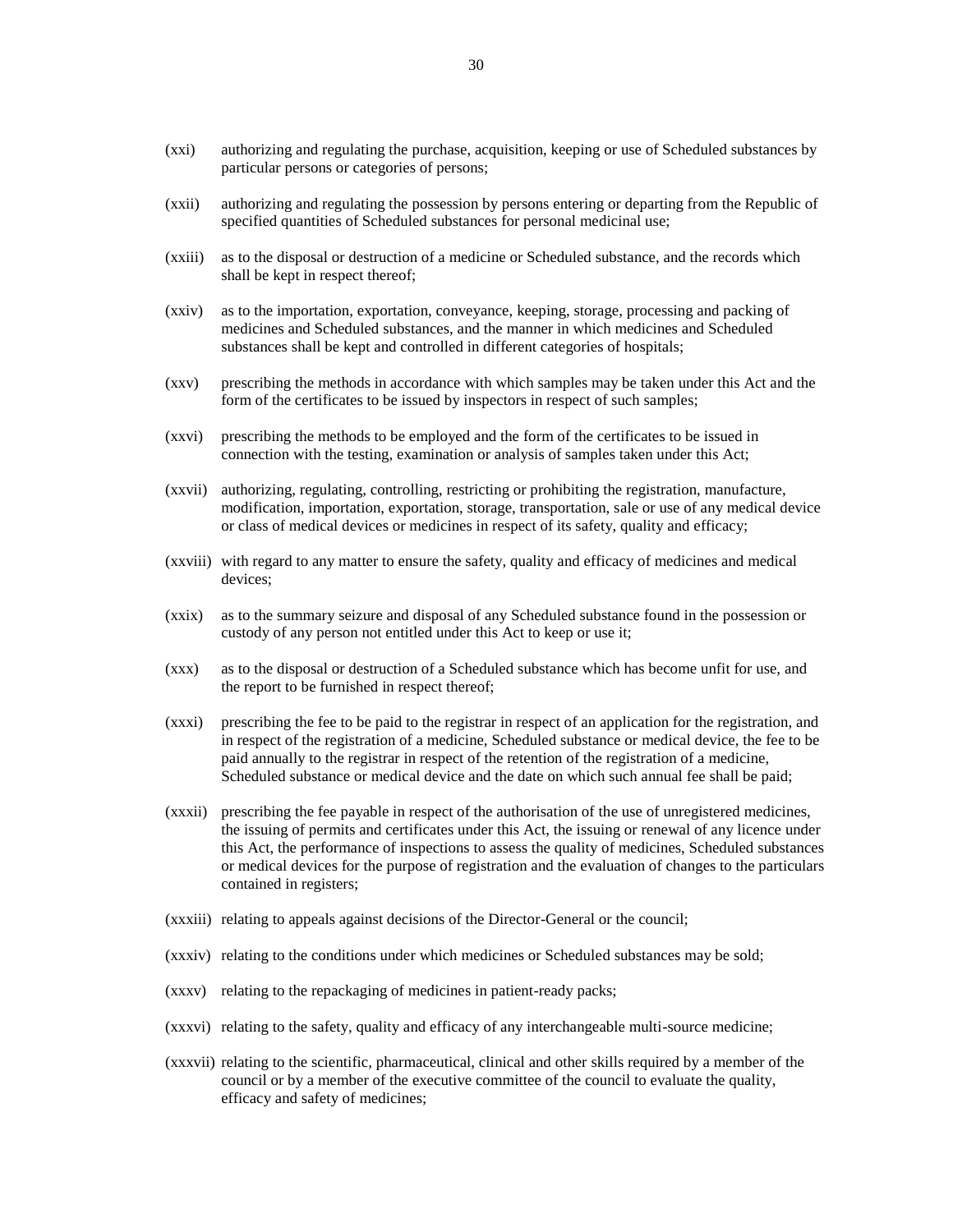- (xxi) authorizing and regulating the purchase, acquisition, keeping or use of Scheduled substances by particular persons or categories of persons;
- (xxii) authorizing and regulating the possession by persons entering or departing from the Republic of specified quantities of Scheduled substances for personal medicinal use;
- (xxiii) as to the disposal or destruction of a medicine or Scheduled substance, and the records which shall be kept in respect thereof;
- (xxiv) as to the importation, exportation, conveyance, keeping, storage, processing and packing of medicines and Scheduled substances, and the manner in which medicines and Scheduled substances shall be kept and controlled in different categories of hospitals;
- (xxv) prescribing the methods in accordance with which samples may be taken under this Act and the form of the certificates to be issued by inspectors in respect of such samples;
- (xxvi) prescribing the methods to be employed and the form of the certificates to be issued in connection with the testing, examination or analysis of samples taken under this Act;
- (xxvii) authorizing, regulating, controlling, restricting or prohibiting the registration, manufacture, modification, importation, exportation, storage, transportation, sale or use of any medical device or class of medical devices or medicines in respect of its safety, quality and efficacy;
- (xxviii) with regard to any matter to ensure the safety, quality and efficacy of medicines and medical devices;
- (xxix) as to the summary seizure and disposal of any Scheduled substance found in the possession or custody of any person not entitled under this Act to keep or use it;
- (xxx) as to the disposal or destruction of a Scheduled substance which has become unfit for use, and the report to be furnished in respect thereof;
- (xxxi) prescribing the fee to be paid to the registrar in respect of an application for the registration, and in respect of the registration of a medicine, Scheduled substance or medical device, the fee to be paid annually to the registrar in respect of the retention of the registration of a medicine, Scheduled substance or medical device and the date on which such annual fee shall be paid;
- (xxxii) prescribing the fee payable in respect of the authorisation of the use of unregistered medicines, the issuing of permits and certificates under this Act, the issuing or renewal of any licence under this Act, the performance of inspections to assess the quality of medicines, Scheduled substances or medical devices for the purpose of registration and the evaluation of changes to the particulars contained in registers;
- (xxxiii) relating to appeals against decisions of the Director-General or the council;
- (xxxiv) relating to the conditions under which medicines or Scheduled substances may be sold;
- (xxxv) relating to the repackaging of medicines in patient-ready packs;
- (xxxvi) relating to the safety, quality and efficacy of any interchangeable multi-source medicine;
- (xxxvii) relating to the scientific, pharmaceutical, clinical and other skills required by a member of the council or by a member of the executive committee of the council to evaluate the quality, efficacy and safety of medicines;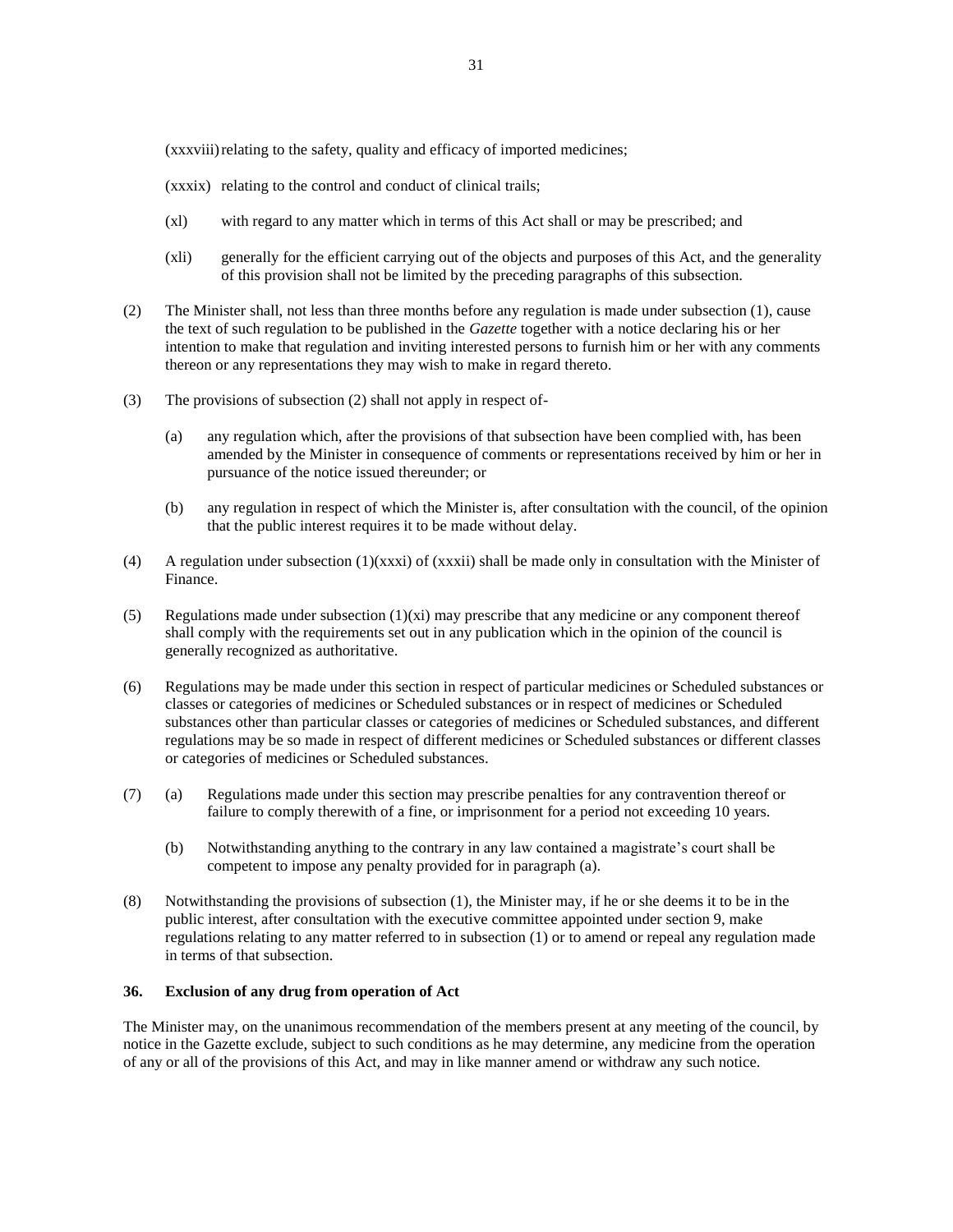(xxxviii)relating to the safety, quality and efficacy of imported medicines;

- (xxxix) relating to the control and conduct of clinical trails;
- (xl) with regard to any matter which in terms of this Act shall or may be prescribed; and
- (xli) generally for the efficient carrying out of the objects and purposes of this Act, and the generality of this provision shall not be limited by the preceding paragraphs of this subsection.
- (2) The Minister shall, not less than three months before any regulation is made under subsection (1), cause the text of such regulation to be published in the *Gazette* together with a notice declaring his or her intention to make that regulation and inviting interested persons to furnish him or her with any comments thereon or any representations they may wish to make in regard thereto.
- (3) The provisions of subsection (2) shall not apply in respect of-
	- (a) any regulation which, after the provisions of that subsection have been complied with, has been amended by the Minister in consequence of comments or representations received by him or her in pursuance of the notice issued thereunder; or
	- (b) any regulation in respect of which the Minister is, after consultation with the council, of the opinion that the public interest requires it to be made without delay.
- (4) A regulation under subsection (1)(xxxi) of (xxxii) shall be made only in consultation with the Minister of Finance.
- (5) Regulations made under subsection  $(1)(xi)$  may prescribe that any medicine or any component thereof shall comply with the requirements set out in any publication which in the opinion of the council is generally recognized as authoritative.
- (6) Regulations may be made under this section in respect of particular medicines or Scheduled substances or classes or categories of medicines or Scheduled substances or in respect of medicines or Scheduled substances other than particular classes or categories of medicines or Scheduled substances, and different regulations may be so made in respect of different medicines or Scheduled substances or different classes or categories of medicines or Scheduled substances.
- (7) (a) Regulations made under this section may prescribe penalties for any contravention thereof or failure to comply therewith of a fine, or imprisonment for a period not exceeding 10 years.
	- (b) Notwithstanding anything to the contrary in any law contained a magistrate's court shall be competent to impose any penalty provided for in paragraph (a).
- (8) Notwithstanding the provisions of subsection (1), the Minister may, if he or she deems it to be in the public interest, after consultation with the executive committee appointed under section 9, make regulations relating to any matter referred to in subsection (1) or to amend or repeal any regulation made in terms of that subsection.

# **36. Exclusion of any drug from operation of Act**

The Minister may, on the unanimous recommendation of the members present at any meeting of the council, by notice in the Gazette exclude, subject to such conditions as he may determine, any medicine from the operation of any or all of the provisions of this Act, and may in like manner amend or withdraw any such notice.